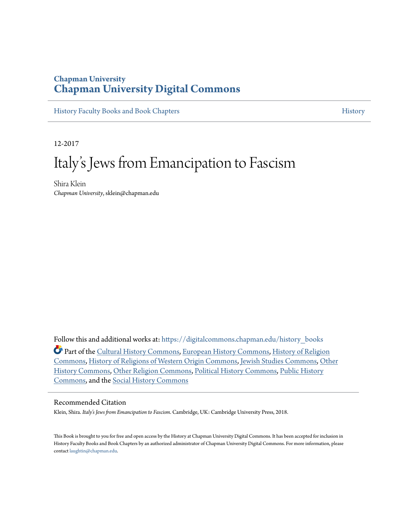### **Chapman University [Chapman University Digital Commons](https://digitalcommons.chapman.edu?utm_source=digitalcommons.chapman.edu%2Fhistory_books%2F28&utm_medium=PDF&utm_campaign=PDFCoverPages)**

[History Faculty Books and Book Chapters](https://digitalcommons.chapman.edu/history_books?utm_source=digitalcommons.chapman.edu%2Fhistory_books%2F28&utm_medium=PDF&utm_campaign=PDFCoverPages) [History](https://digitalcommons.chapman.edu/history?utm_source=digitalcommons.chapman.edu%2Fhistory_books%2F28&utm_medium=PDF&utm_campaign=PDFCoverPages) History

12-2017

# Italy 's Jews from Emancipation to Fascism

Shira Klein *Chapman University*, sklein@chapman.edu

Follow this and additional works at: [https://digitalcommons.chapman.edu/history\\_books](https://digitalcommons.chapman.edu/history_books?utm_source=digitalcommons.chapman.edu%2Fhistory_books%2F28&utm_medium=PDF&utm_campaign=PDFCoverPages) Part of the [Cultural History Commons,](http://network.bepress.com/hgg/discipline/496?utm_source=digitalcommons.chapman.edu%2Fhistory_books%2F28&utm_medium=PDF&utm_campaign=PDFCoverPages) [European History Commons](http://network.bepress.com/hgg/discipline/492?utm_source=digitalcommons.chapman.edu%2Fhistory_books%2F28&utm_medium=PDF&utm_campaign=PDFCoverPages), [History of Religion](http://network.bepress.com/hgg/discipline/499?utm_source=digitalcommons.chapman.edu%2Fhistory_books%2F28&utm_medium=PDF&utm_campaign=PDFCoverPages) [Commons,](http://network.bepress.com/hgg/discipline/499?utm_source=digitalcommons.chapman.edu%2Fhistory_books%2F28&utm_medium=PDF&utm_campaign=PDFCoverPages) [History of Religions of Western Origin Commons](http://network.bepress.com/hgg/discipline/542?utm_source=digitalcommons.chapman.edu%2Fhistory_books%2F28&utm_medium=PDF&utm_campaign=PDFCoverPages), [Jewish Studies Commons,](http://network.bepress.com/hgg/discipline/479?utm_source=digitalcommons.chapman.edu%2Fhistory_books%2F28&utm_medium=PDF&utm_campaign=PDFCoverPages) [Other](http://network.bepress.com/hgg/discipline/508?utm_source=digitalcommons.chapman.edu%2Fhistory_books%2F28&utm_medium=PDF&utm_campaign=PDFCoverPages) [History Commons,](http://network.bepress.com/hgg/discipline/508?utm_source=digitalcommons.chapman.edu%2Fhistory_books%2F28&utm_medium=PDF&utm_campaign=PDFCoverPages) [Other Religion Commons](http://network.bepress.com/hgg/discipline/545?utm_source=digitalcommons.chapman.edu%2Fhistory_books%2F28&utm_medium=PDF&utm_campaign=PDFCoverPages), [Political History Commons,](http://network.bepress.com/hgg/discipline/505?utm_source=digitalcommons.chapman.edu%2Fhistory_books%2F28&utm_medium=PDF&utm_campaign=PDFCoverPages) [Public History](http://network.bepress.com/hgg/discipline/1292?utm_source=digitalcommons.chapman.edu%2Fhistory_books%2F28&utm_medium=PDF&utm_campaign=PDFCoverPages) [Commons,](http://network.bepress.com/hgg/discipline/1292?utm_source=digitalcommons.chapman.edu%2Fhistory_books%2F28&utm_medium=PDF&utm_campaign=PDFCoverPages) and the [Social History Commons](http://network.bepress.com/hgg/discipline/506?utm_source=digitalcommons.chapman.edu%2Fhistory_books%2F28&utm_medium=PDF&utm_campaign=PDFCoverPages)

#### Recommended Citation

Klein, Shira. *Italy's Jews from Emancipation to Fascism*. Cambridge, UK: Cambridge University Press, 2018.

This Book is brought to you for free and open access by the History at Chapman University Digital Commons. It has been accepted for inclusion in History Faculty Books and Book Chapters by an authorized administrator of Chapman University Digital Commons. For more information, please contact [laughtin@chapman.edu](mailto:laughtin@chapman.edu).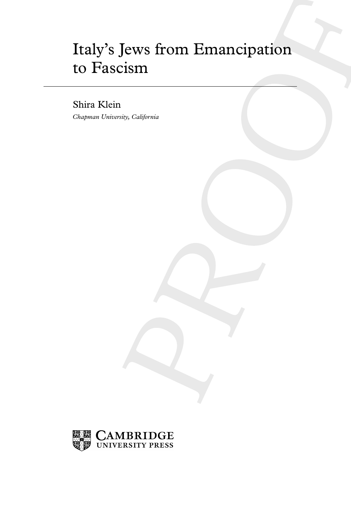## Italy's Jews from Emancipation to Fascism

Shira Klein

*Chapman University, California*

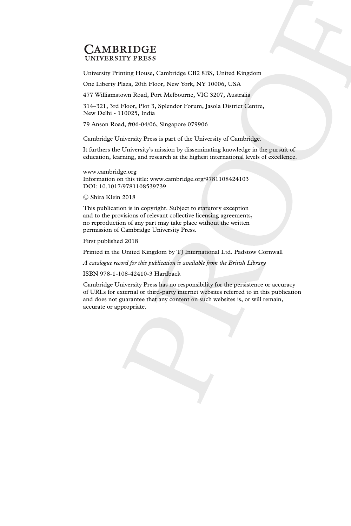#### **CAMBRIDGE UNIVERSITY PRESS**

University Printing House, Cambridge CB2 8BS, United Kingdom

One Liberty Plaza, 20th Floor, New York, NY 10006, USA

477 Williamstown Road, Port Melbourne, VIC 3207, Australia

314–321, 3rd Floor, Plot 3, Splendor Forum, Jasola District Centre, New Delhi - 110025, India

79 Anson Road, #06-04/06, Singapore 079906

Cambridge University Press is part of the University of Cambridge.

It furthers the University's mission by disseminating knowledge in the pursuit of education, learning, and research at the highest international levels of excellence.

www.cambridge.org Information on this title: www.cambridge.org/9781108424103 DOI: 10.1017/9781108539739

-<sup>C</sup> Shira Klein 2018

This publication is in copyright. Subject to statutory exception and to the provisions of relevant collective licensing agreements, no reproduction of any part may take place without the written permission of Cambridge University Press.

First published 2018

Printed in the United Kingdom by TJ International Ltd. Padstow Cornwall

*A catalogue record for this publication is available from the British Library*

ISBN 978-1-108-42410-3 Hardback

Cambridge University Press has no responsibility for the persistence or accuracy of URLs for external or third-party internet websites referred to in this publication and does not guarantee that any content on such websites is, or will remain, accurate or appropriate.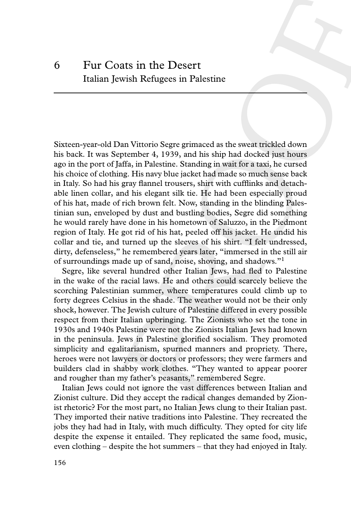Sixteen-year-old Dan Vittorio Segre grimaced as the sweat trickled down his back. It was September 4, 1939, and his ship had docked just hours ago in the port of Jaffa, in Palestine. Standing in wait for a taxi, he cursed his choice of clothing. His navy blue jacket had made so much sense back in Italy. So had his gray flannel trousers, shirt with cufflinks and detachable linen collar, and his elegant silk tie. He had been especially proud of his hat, made of rich brown felt. Now, standing in the blinding Palestinian sun, enveloped by dust and bustling bodies, Segre did something he would rarely have done in his hometown of Saluzzo, in the Piedmont region of Italy. He got rid of his hat, peeled off his jacket. He undid his collar and tie, and turned up the sleeves of his shirt. "I felt undressed, dirty, defenseless," he remembered years later, "immersed in the still air of surroundings made up of sand, noise, shoving, and shadows."<sup>1</sup>

Segre, like several hundred other Italian Jews, had fled to Palestine in the wake of the racial laws. He and others could scarcely believe the scorching Palestinian summer, where temperatures could climb up to forty degrees Celsius in the shade. The weather would not be their only shock, however. The Jewish culture of Palestine differed in every possible respect from their Italian upbringing. The Zionists who set the tone in 1930s and 1940s Palestine were not the Zionists Italian Jews had known in the peninsula. Jews in Palestine glorified socialism. They promoted simplicity and egalitarianism, spurned manners and propriety. There, heroes were not lawyers or doctors or professors; they were farmers and builders clad in shabby work clothes. "They wanted to appear poorer and rougher than my father's peasants," remembered Segre.

Italian Jews could not ignore the vast differences between Italian and Zionist culture. Did they accept the radical changes demanded by Zionist rhetoric? For the most part, no Italian Jews clung to their Italian past. They imported their native traditions into Palestine. They recreated the jobs they had had in Italy, with much difficulty. They opted for city life despite the expense it entailed. They replicated the same food, music, even clothing – despite the hot summers – that they had enjoyed in Italy.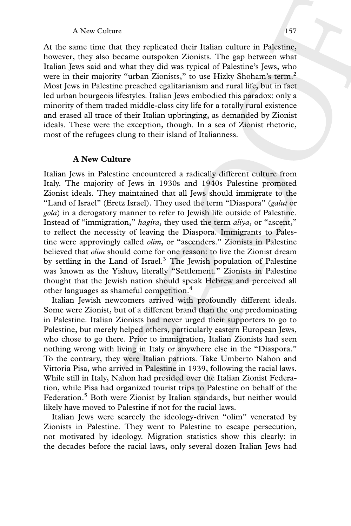At the same time that they replicated their Italian culture in Palestine, however, they also became outspoken Zionists. The gap between what Italian Jews said and what they did was typical of Palestine's Jews, who were in their majority "urban Zionists," to use Hizky Shoham's term.<sup>2</sup> Most Jews in Palestine preached egalitarianism and rural life, but in fact led urban bourgeois lifestyles. Italian Jews embodied this paradox: only a minority of them traded middle-class city life for a totally rural existence and erased all trace of their Italian upbringing, as demanded by Zionist ideals. These were the exception, though. In a sea of Zionist rhetoric, most of the refugees clung to their island of Italianness.

#### **A New Culture**

Italian Jews in Palestine encountered a radically different culture from Italy. The majority of Jews in 1930s and 1940s Palestine promoted Zionist ideals. They maintained that all Jews should immigrate to the "Land of Israel" (Eretz Israel). They used the term "Diaspora" (*galut* or *gola*) in a derogatory manner to refer to Jewish life outside of Palestine. Instead of "immigration," *hagira*, they used the term *aliya*, or "ascent," to reflect the necessity of leaving the Diaspora. Immigrants to Palestine were approvingly called *olim*, or "ascenders." Zionists in Palestine believed that *olim* should come for one reason: to live the Zionist dream by settling in the Land of Israel.<sup>3</sup> The Jewish population of Palestine was known as the Yishuv, literally "Settlement." Zionists in Palestine thought that the Jewish nation should speak Hebrew and perceived all other languages as shameful competition.<sup>4</sup>

Italian Jewish newcomers arrived with profoundly different ideals. Some were Zionist, but of a different brand than the one predominating in Palestine. Italian Zionists had never urged their supporters to go to Palestine, but merely helped others, particularly eastern European Jews, who chose to go there. Prior to immigration, Italian Zionists had seen nothing wrong with living in Italy or anywhere else in the "Diaspora." To the contrary, they were Italian patriots. Take Umberto Nahon and Vittoria Pisa, who arrived in Palestine in 1939, following the racial laws. While still in Italy, Nahon had presided over the Italian Zionist Federation, while Pisa had organized tourist trips to Palestine on behalf of the Federation.<sup>5</sup> Both were Zionist by Italian standards, but neither would likely have moved to Palestine if not for the racial laws.

Italian Jews were scarcely the ideology-driven "olim" venerated by Zionists in Palestine. They went to Palestine to escape persecution, not motivated by ideology. Migration statistics show this clearly: in the decades before the racial laws, only several dozen Italian Jews had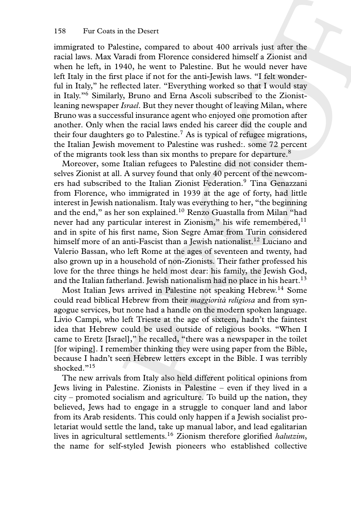immigrated to Palestine, compared to about 400 arrivals just after the racial laws. Max Varadi from Florence considered himself a Zionist and when he left, in 1940, he went to Palestine. But he would never have left Italy in the first place if not for the anti-Jewish laws. "I felt wonderful in Italy," he reflected later. "Everything worked so that I would stay in Italy."<sup>6</sup> Similarly, Bruno and Erna Ascoli subscribed to the Zionistleaning newspaper *Israel*. But they never thought of leaving Milan, where Bruno was a successful insurance agent who enjoyed one promotion after another. Only when the racial laws ended his career did the couple and their four daughters go to Palestine.<sup>7</sup> As is typical of refugee migrations, the Italian Jewish movement to Palestine was rushed:. some 72 percent of the migrants took less than six months to prepare for departure.<sup>8</sup>

Moreover, some Italian refugees to Palestine did not consider themselves Zionist at all. A survey found that only 40 percent of the newcomers had subscribed to the Italian Zionist Federation.<sup>9</sup> Tina Genazzani from Florence, who immigrated in 1939 at the age of forty, had little interest in Jewish nationalism. Italy was everything to her, "the beginning and the end," as her son explained.<sup>10</sup> Renzo Guastalla from Milan "had never had any particular interest in Zionism," his wife remembered, $<sup>11</sup>$ </sup> and in spite of his first name, Sion Segre Amar from Turin considered himself more of an anti-Fascist than a Jewish nationalist.<sup>12</sup> Luciano and Valerio Bassan, who left Rome at the ages of seventeen and twenty, had also grown up in a household of non-Zionists. Their father professed his love for the three things he held most dear: his family, the Jewish God, and the Italian fatherland. Jewish nationalism had no place in his heart.<sup>13</sup>

Most Italian Jews arrived in Palestine not speaking Hebrew.<sup>14</sup> Some could read biblical Hebrew from their *maggiorità religiosa* and from synagogue services, but none had a handle on the modern spoken language. Livio Campi, who left Trieste at the age of sixteen, hadn't the faintest idea that Hebrew could be used outside of religious books. "When I came to Eretz [Israel]," he recalled, "there was a newspaper in the toilet [for wiping]. I remember thinking they were using paper from the Bible, because I hadn't seen Hebrew letters except in the Bible. I was terribly shocked."<sup>15</sup>

The new arrivals from Italy also held different political opinions from Jews living in Palestine. Zionists in Palestine – even if they lived in a city – promoted socialism and agriculture. To build up the nation, they believed, Jews had to engage in a struggle to conquer land and labor from its Arab residents. This could only happen if a Jewish socialist proletariat would settle the land, take up manual labor, and lead egalitarian lives in agricultural settlements.16 Zionism therefore glorified *halutzim*, the name for self-styled Jewish pioneers who established collective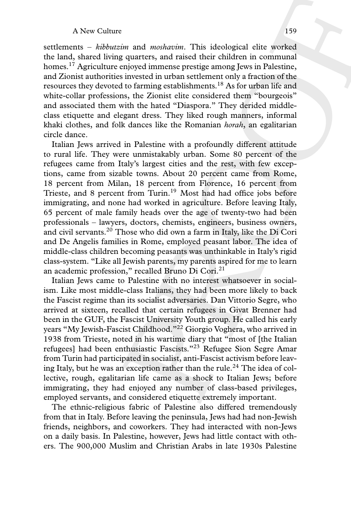settlements – *kibbutzim* and *moshavim*. This ideological elite worked the land, shared living quarters, and raised their children in communal homes.<sup>17</sup> Agriculture enjoyed immense prestige among Jews in Palestine, and Zionist authorities invested in urban settlement only a fraction of the resources they devoted to farming establishments.18 As for urban life and white-collar professions, the Zionist elite considered them "bourgeois" and associated them with the hated "Diaspora." They derided middleclass etiquette and elegant dress. They liked rough manners, informal khaki clothes, and folk dances like the Romanian *horah*, an egalitarian circle dance.

Italian Jews arrived in Palestine with a profoundly different attitude to rural life. They were unmistakably urban. Some 80 percent of the refugees came from Italy's largest cities and the rest, with few exceptions, came from sizable towns. About 20 percent came from Rome, 18 percent from Milan, 18 percent from Florence, 16 percent from Trieste, and 8 percent from Turin.<sup>19</sup> Most had had office jobs before immigrating, and none had worked in agriculture. Before leaving Italy, 65 percent of male family heads over the age of twenty-two had been professionals – lawyers, doctors, chemists, engineers, business owners, and civil servants.20 Those who did own a farm in Italy, like the Di Cori and De Angelis families in Rome, employed peasant labor. The idea of middle-class children becoming peasants was unthinkable in Italy's rigid class-system. "Like all Jewish parents, my parents aspired for me to learn an academic profession," recalled Bruno Di Cori.<sup>21</sup>

Italian Jews came to Palestine with no interest whatsoever in socialism. Like most middle-class Italians, they had been more likely to back the Fascist regime than its socialist adversaries. Dan Vittorio Segre, who arrived at sixteen, recalled that certain refugees in Givat Brenner had been in the GUF, the Fascist University Youth group. He called his early years "My Jewish-Fascist Childhood."<sup>22</sup> Giorgio Voghera, who arrived in 1938 from Trieste, noted in his wartime diary that "most of [the Italian refugees] had been enthusiastic Fascists."23 Refugee Sion Segre Amar from Turin had participated in socialist, anti-Fascist activism before leaving Italy, but he was an exception rather than the rule.<sup>24</sup> The idea of collective, rough, egalitarian life came as a shock to Italian Jews; before immigrating, they had enjoyed any number of class-based privileges, employed servants, and considered etiquette extremely important.

The ethnic-religious fabric of Palestine also differed tremendously from that in Italy. Before leaving the peninsula, Jews had had non-Jewish friends, neighbors, and coworkers. They had interacted with non-Jews on a daily basis. In Palestine, however, Jews had little contact with others. The 900,000 Muslim and Christian Arabs in late 1930s Palestine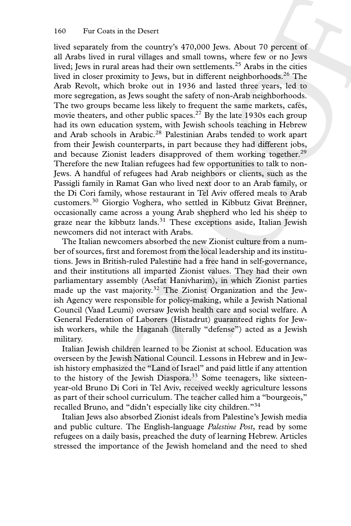lived separately from the country's 470,000 Jews. About 70 percent of all Arabs lived in rural villages and small towns, where few or no Jews lived; Jews in rural areas had their own settlements.<sup>25</sup> Arabs in the cities lived in closer proximity to Jews, but in different neighborhoods.<sup>26</sup> The Arab Revolt, which broke out in 1936 and lasted three years, led to more segregation, as Jews sought the safety of non-Arab neighborhoods. The two groups became less likely to frequent the same markets, cafés, movie theaters, and other public spaces.<sup>27</sup> By the late 1930s each group had its own education system, with Jewish schools teaching in Hebrew and Arab schools in Arabic.<sup>28</sup> Palestinian Arabs tended to work apart from their Jewish counterparts, in part because they had different jobs, and because Zionist leaders disapproved of them working together.<sup>29</sup> Therefore the new Italian refugees had few opportunities to talk to non-Jews. A handful of refugees had Arab neighbors or clients, such as the Passigli family in Ramat Gan who lived next door to an Arab family, or the Di Cori family, whose restaurant in Tel Aviv offered meals to Arab customers.30 Giorgio Voghera, who settled in Kibbutz Givat Brenner, occasionally came across a young Arab shepherd who led his sheep to graze near the kibbutz lands. $31$  These exceptions aside, Italian Jewish newcomers did not interact with Arabs.

The Italian newcomers absorbed the new Zionist culture from a number of sources, first and foremost from the local leadership and its institutions. Jews in British-ruled Palestine had a free hand in self-governance, and their institutions all imparted Zionist values. They had their own parliamentary assembly (Asefat Hanivharim), in which Zionist parties made up the vast majority.<sup>32</sup> The Zionist Organization and the Jewish Agency were responsible for policy-making, while a Jewish National Council (Vaad Leumi) oversaw Jewish health care and social welfare. A General Federation of Laborers (Histadrut) guaranteed rights for Jewish workers, while the Haganah (literally "defense") acted as a Jewish military.

Italian Jewish children learned to be Zionist at school. Education was overseen by the Jewish National Council. Lessons in Hebrew and in Jewish history emphasized the "Land of Israel" and paid little if any attention to the history of the Jewish Diaspora.<sup>33</sup> Some teenagers, like sixteenyear-old Bruno Di Cori in Tel Aviv, received weekly agriculture lessons as part of their school curriculum. The teacher called him a "bourgeois," recalled Bruno, and "didn't especially like city children."<sup>34</sup>

Italian Jews also absorbed Zionist ideals from Palestine's Jewish media and public culture. The English-language *Palestine Post*, read by some refugees on a daily basis, preached the duty of learning Hebrew. Articles stressed the importance of the Jewish homeland and the need to shed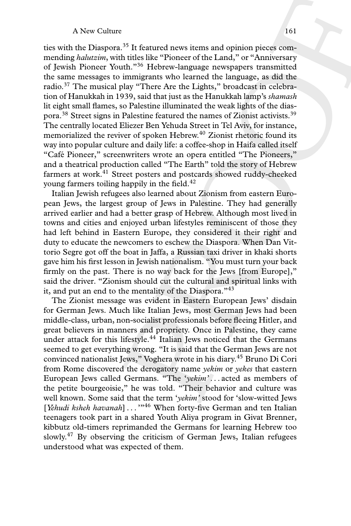ties with the Diaspora.<sup>35</sup> It featured news items and opinion pieces commending *halutzim*, with titles like "Pioneer of the Land," or "Anniversary of Jewish Pioneer Youth."<sup>36</sup> Hebrew-language newspapers transmitted the same messages to immigrants who learned the language, as did the radio.<sup>37</sup> The musical play "There Are the Lights," broadcast in celebration of Hanukkah in 1939, said that just as the Hanukkah lamp's *shamash* lit eight small flames, so Palestine illuminated the weak lights of the diaspora.38 Street signs in Palestine featured the names of Zionist activists.<sup>39</sup> The centrally located Eliezer Ben Yehuda Street in Tel Aviv, for instance, memorialized the reviver of spoken Hebrew.<sup>40</sup> Zionist rhetoric found its way into popular culture and daily life: a coffee-shop in Haifa called itself "Café Pioneer," screenwriters wrote an opera entitled "The Pioneers," and a theatrical production called "The Earth" told the story of Hebrew farmers at work.<sup>41</sup> Street posters and postcards showed ruddy-cheeked young farmers toiling happily in the field.<sup>42</sup>

Italian Jewish refugees also learned about Zionism from eastern European Jews, the largest group of Jews in Palestine. They had generally arrived earlier and had a better grasp of Hebrew. Although most lived in towns and cities and enjoyed urban lifestyles reminiscent of those they had left behind in Eastern Europe, they considered it their right and duty to educate the newcomers to eschew the Diaspora. When Dan Vittorio Segre got off the boat in Jaffa, a Russian taxi driver in khaki shorts gave him his first lesson in Jewish nationalism. "You must turn your back firmly on the past. There is no way back for the Jews [from Europe]," said the driver. "Zionism should cut the cultural and spiritual links with it, and put an end to the mentality of the Diaspora."<sup>43</sup>

The Zionist message was evident in Eastern European Jews' disdain for German Jews. Much like Italian Jews, most German Jews had been middle-class, urban, non-socialist professionals before fleeing Hitler, and great believers in manners and propriety. Once in Palestine, they came under attack for this lifestyle.<sup>44</sup> Italian Jews noticed that the Germans seemed to get everything wrong. "It is said that the German Jews are not convinced nationalist Jews," Voghera wrote in his diary.<sup>45</sup> Bruno Di Cori from Rome discovered the derogatory name *yekim* or *yekes* that eastern European Jews called Germans. "The 'yekim' ... acted as members of the petite bourgeoisie," he was told. "Their behavior and culture was well known. Some said that the term '*yekim'* stood for 'slow-witted Jews [*Yehudi ksheh havanah*] . . . "<sup>46</sup> When forty-five German and ten Italian teenagers took part in a shared Youth Aliya program in Givat Brenner, kibbutz old-timers reprimanded the Germans for learning Hebrew too slowly.<sup>47</sup> By observing the criticism of German Jews, Italian refugees understood what was expected of them.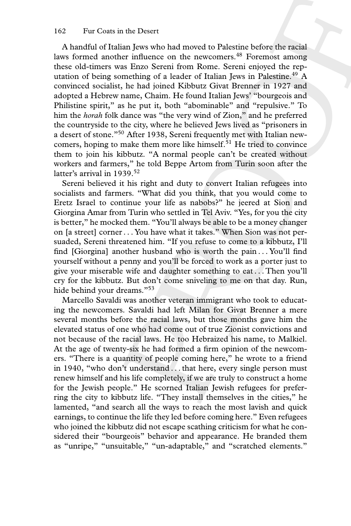A handful of Italian Jews who had moved to Palestine before the racial laws formed another influence on the newcomers.<sup>48</sup> Foremost among these old-timers was Enzo Sereni from Rome. Sereni enjoyed the reputation of being something of a leader of Italian Jews in Palestine.<sup>49</sup> A convinced socialist, he had joined Kibbutz Givat Brenner in 1927 and adopted a Hebrew name, Chaim. He found Italian Jews' "bourgeois and Philistine spirit," as he put it, both "abominable" and "repulsive." To him the *horah* folk dance was "the very wind of Zion," and he preferred the countryside to the city, where he believed Jews lived as "prisoners in a desert of stone."<sup>50</sup> After 1938, Sereni frequently met with Italian newcomers, hoping to make them more like himself.<sup>51</sup> He tried to convince them to join his kibbutz. "A normal people can't be created without workers and farmers," he told Beppe Artom from Turin soon after the latter's arrival in 1939.<sup>52</sup>

Sereni believed it his right and duty to convert Italian refugees into socialists and farmers. "What did you think, that you would come to Eretz Israel to continue your life as nabobs?" he jeered at Sion and Giorgina Amar from Turin who settled in Tel Aviv. "Yes, for you the city is better," he mocked them. "You'll always be able to be a money changer on [a street] corner . . . You have what it takes." When Sion was not persuaded, Sereni threatened him. "If you refuse to come to a kibbutz, I'll find [Giorgina] another husband who is worth the pain ... You'll find yourself without a penny and you'll be forced to work as a porter just to give your miserable wife and daughter something to eat . . . Then you'll cry for the kibbutz. But don't come sniveling to me on that day. Run, hide behind your dreams."<sup>53</sup>

Marcello Savaldi was another veteran immigrant who took to educating the newcomers. Savaldi had left Milan for Givat Brenner a mere several months before the racial laws, but those months gave him the elevated status of one who had come out of true Zionist convictions and not because of the racial laws. He too Hebraized his name, to Malkiel. At the age of twenty-six he had formed a firm opinion of the newcomers. "There is a quantity of people coming here," he wrote to a friend in 1940, "who don't understand . . . that here, every single person must renew himself and his life completely, if we are truly to construct a home for the Jewish people." He scorned Italian Jewish refugees for preferring the city to kibbutz life. "They install themselves in the cities," he lamented, "and search all the ways to reach the most lavish and quick earnings, to continue the life they led before coming here." Even refugees who joined the kibbutz did not escape scathing criticism for what he considered their "bourgeois" behavior and appearance. He branded them as "unripe," "unsuitable," "un-adaptable," and "scratched elements."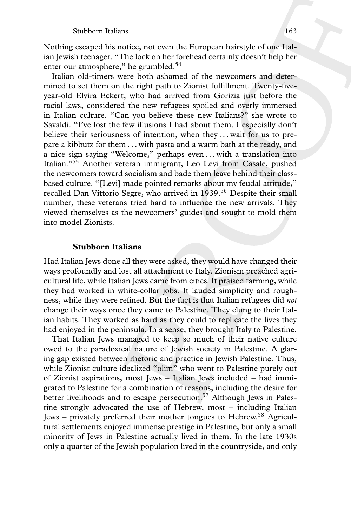Nothing escaped his notice, not even the European hairstyle of one Italian Jewish teenager. "The lock on her forehead certainly doesn't help her enter our atmosphere," he grumbled.<sup>54</sup>

Italian old-timers were both ashamed of the newcomers and determined to set them on the right path to Zionist fulfillment. Twenty-fiveyear-old Elvira Eckert, who had arrived from Gorizia just before the racial laws, considered the new refugees spoiled and overly immersed in Italian culture. "Can you believe these new Italians?" she wrote to Savaldi. "I've lost the few illusions I had about them. I especially don't believe their seriousness of intention, when they . . . wait for us to prepare a kibbutz for them . . . with pasta and a warm bath at the ready, and a nice sign saying "Welcome," perhaps even . . . with a translation into Italian."<sup>55</sup> Another veteran immigrant, Leo Levi from Casale, pushed the newcomers toward socialism and bade them leave behind their classbased culture. "[Levi] made pointed remarks about my feudal attitude," recalled Dan Vittorio Segre, who arrived in 1939.<sup>56</sup> Despite their small number, these veterans tried hard to influence the new arrivals. They viewed themselves as the newcomers' guides and sought to mold them into model Zionists.

#### **Stubborn Italians**

Had Italian Jews done all they were asked, they would have changed their ways profoundly and lost all attachment to Italy. Zionism preached agricultural life, while Italian Jews came from cities. It praised farming, while they had worked in white-collar jobs. It lauded simplicity and roughness, while they were refined. But the fact is that Italian refugees did *not* change their ways once they came to Palestine. They clung to their Italian habits. They worked as hard as they could to replicate the lives they had enjoyed in the peninsula. In a sense, they brought Italy to Palestine.

That Italian Jews managed to keep so much of their native culture owed to the paradoxical nature of Jewish society in Palestine. A glaring gap existed between rhetoric and practice in Jewish Palestine. Thus, while Zionist culture idealized "olim" who went to Palestine purely out of Zionist aspirations, most Jews – Italian Jews included – had immigrated to Palestine for a combination of reasons, including the desire for better livelihoods and to escape persecution.<sup>57</sup> Although Jews in Palestine strongly advocated the use of Hebrew, most – including Italian Jews – privately preferred their mother tongues to Hebrew.<sup>58</sup> Agricultural settlements enjoyed immense prestige in Palestine, but only a small minority of Jews in Palestine actually lived in them. In the late 1930s only a quarter of the Jewish population lived in the countryside, and only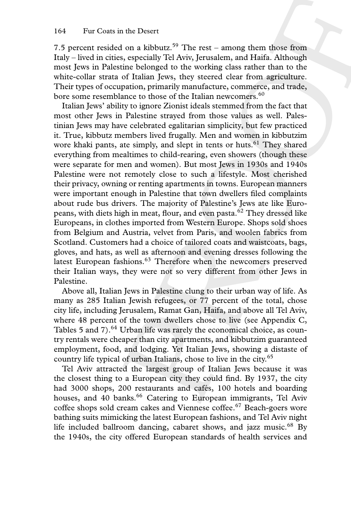7.5 percent resided on a kibbutz.<sup>59</sup> The rest – among them those from Italy – lived in cities, especially Tel Aviv, Jerusalem, and Haifa. Although most Jews in Palestine belonged to the working class rather than to the white-collar strata of Italian Jews, they steered clear from agriculture. Their types of occupation, primarily manufacture, commerce, and trade, bore some resemblance to those of the Italian newcomers.<sup>60</sup>

Italian Jews' ability to ignore Zionist ideals stemmed from the fact that most other Jews in Palestine strayed from those values as well. Palestinian Jews may have celebrated egalitarian simplicity, but few practiced it. True, kibbutz members lived frugally. Men and women in kibbutzim wore khaki pants, ate simply, and slept in tents or huts.<sup>61</sup> They shared everything from mealtimes to child-rearing, even showers (though these were separate for men and women). But most Jews in 1930s and 1940s Palestine were not remotely close to such a lifestyle. Most cherished their privacy, owning or renting apartments in towns. European manners were important enough in Palestine that town dwellers filed complaints about rude bus drivers. The majority of Palestine's Jews ate like Europeans, with diets high in meat, flour, and even pasta.<sup>62</sup> They dressed like Europeans, in clothes imported from Western Europe. Shops sold shoes from Belgium and Austria, velvet from Paris, and woolen fabrics from Scotland. Customers had a choice of tailored coats and waistcoats, bags, gloves, and hats, as well as afternoon and evening dresses following the latest European fashions.<sup>63</sup> Therefore when the newcomers preserved their Italian ways, they were not so very different from other Jews in Palestine.

Above all, Italian Jews in Palestine clung to their urban way of life. As many as 285 Italian Jewish refugees, or 77 percent of the total, chose city life, including Jerusalem, Ramat Gan, Haifa, and above all Tel Aviv, where 48 percent of the town dwellers chose to live (see Appendix C, Tables 5 and 7).<sup>64</sup> Urban life was rarely the economical choice, as country rentals were cheaper than city apartments, and kibbutzim guaranteed employment, food, and lodging. Yet Italian Jews, showing a distaste of country life typical of urban Italians, chose to live in the city.<sup>65</sup>

Tel Aviv attracted the largest group of Italian Jews because it was the closest thing to a European city they could find. By 1937, the city had 3000 shops, 200 restaurants and cafés, 100 hotels and boarding houses, and 40 banks.<sup>66</sup> Catering to European immigrants, Tel Aviv coffee shops sold cream cakes and Viennese coffee.<sup>67</sup> Beach-goers wore bathing suits mimicking the latest European fashions, and Tel Aviv night life included ballroom dancing, cabaret shows, and jazz music. $68$  By the 1940s, the city offered European standards of health services and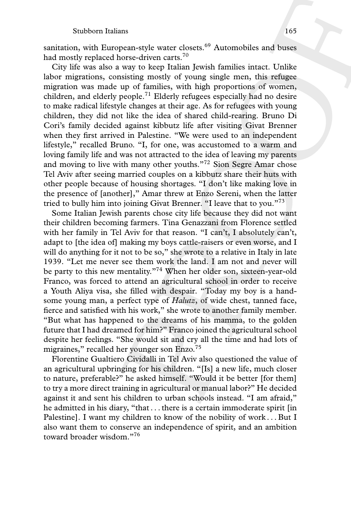sanitation, with European-style water closets.<sup>69</sup> Automobiles and buses had mostly replaced horse-driven carts.<sup>70</sup>

City life was also a way to keep Italian Jewish families intact. Unlike labor migrations, consisting mostly of young single men, this refugee migration was made up of families, with high proportions of women, children, and elderly people.71 Elderly refugees especially had no desire to make radical lifestyle changes at their age. As for refugees with young children, they did not like the idea of shared child-rearing. Bruno Di Cori's family decided against kibbutz life after visiting Givat Brenner when they first arrived in Palestine. "We were used to an independent lifestyle," recalled Bruno. "I, for one, was accustomed to a warm and loving family life and was not attracted to the idea of leaving my parents and moving to live with many other youths."<sup>72</sup> Sion Segre Amar chose Tel Aviv after seeing married couples on a kibbutz share their huts with other people because of housing shortages. "I don't like making love in the presence of [another]," Amar threw at Enzo Sereni, when the latter tried to bully him into joining Givat Brenner. "I leave that to you."<sup>73</sup>

Some Italian Jewish parents chose city life because they did not want their children becoming farmers. Tina Genazzani from Florence settled with her family in Tel Aviv for that reason. "I can't, I absolutely can't, adapt to [the idea of] making my boys cattle-raisers or even worse, and I will do anything for it not to be so," she wrote to a relative in Italy in late 1939. "Let me never see them work the land. I am not and never will be party to this new mentality."<sup>74</sup> When her older son, sixteen-year-old Franco, was forced to attend an agricultural school in order to receive a Youth Aliya visa, she filled with despair. "Today my boy is a handsome young man, a perfect type of *Halutz*, of wide chest, tanned face, fierce and satisfied with his work," she wrote to another family member. "But what has happened to the dreams of his mamma, to the golden future that I had dreamed for him?" Franco joined the agricultural school despite her feelings. "She would sit and cry all the time and had lots of migraines," recalled her younger son Enzo.<sup>75</sup>

Florentine Gualtiero Cividalli in Tel Aviv also questioned the value of an agricultural upbringing for his children. "[Is] a new life, much closer to nature, preferable?" he asked himself. "Would it be better [for them] to try a more direct training in agricultural or manual labor?" He decided against it and sent his children to urban schools instead. "I am afraid," he admitted in his diary, "that . . . there is a certain immoderate spirit [in Palestine]. I want my children to know of the nobility of work . . . But I also want them to conserve an independence of spirit, and an ambition toward broader wisdom."76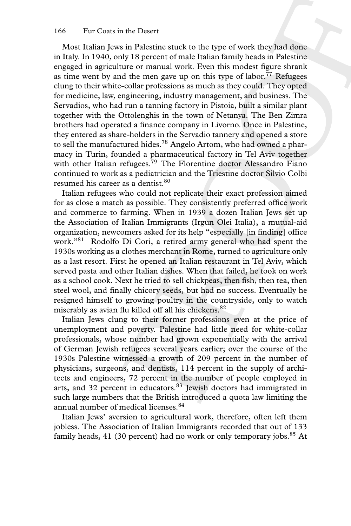Most Italian Jews in Palestine stuck to the type of work they had done in Italy. In 1940, only 18 percent of male Italian family heads in Palestine engaged in agriculture or manual work. Even this modest figure shrank as time went by and the men gave up on this type of labor.<sup>77</sup> Refugees clung to their white-collar professions as much as they could. They opted for medicine, law, engineering, industry management, and business. The Servadios, who had run a tanning factory in Pistoia, built a similar plant together with the Ottolenghis in the town of Netanya. The Ben Zimra brothers had operated a finance company in Livorno. Once in Palestine, they entered as share-holders in the Servadio tannery and opened a store to sell the manufactured hides.<sup>78</sup> Angelo Artom, who had owned a pharmacy in Turin, founded a pharmaceutical factory in Tel Aviv together with other Italian refugees.<sup>79</sup> The Florentine doctor Alessandro Fiano continued to work as a pediatrician and the Triestine doctor Silvio Colbi resumed his career as a dentist.<sup>80</sup>

Italian refugees who could not replicate their exact profession aimed for as close a match as possible. They consistently preferred office work and commerce to farming. When in 1939 a dozen Italian Jews set up the Association of Italian Immigrants (Irgun Olei Italia), a mutual-aid organization, newcomers asked for its help "especially [in finding] office work."<sup>81</sup> Rodolfo Di Cori, a retired army general who had spent the 1930s working as a clothes merchant in Rome, turned to agriculture only as a last resort. First he opened an Italian restaurant in Tel Aviv, which served pasta and other Italian dishes. When that failed, he took on work as a school cook. Next he tried to sell chickpeas, then fish, then tea, then steel wool, and finally chicory seeds, but had no success. Eventually he resigned himself to growing poultry in the countryside, only to watch miserably as avian flu killed off all his chickens.<sup>82</sup>

Italian Jews clung to their former professions even at the price of unemployment and poverty. Palestine had little need for white-collar professionals, whose number had grown exponentially with the arrival of German Jewish refugees several years earlier; over the course of the 1930s Palestine witnessed a growth of 209 percent in the number of physicians, surgeons, and dentists, 114 percent in the supply of architects and engineers, 72 percent in the number of people employed in arts, and 32 percent in educators.<sup>83</sup> Jewish doctors had immigrated in such large numbers that the British introduced a quota law limiting the annual number of medical licenses.<sup>84</sup>

Italian Jews' aversion to agricultural work, therefore, often left them jobless. The Association of Italian Immigrants recorded that out of 133 family heads, 41 (30 percent) had no work or only temporary jobs. $85$  At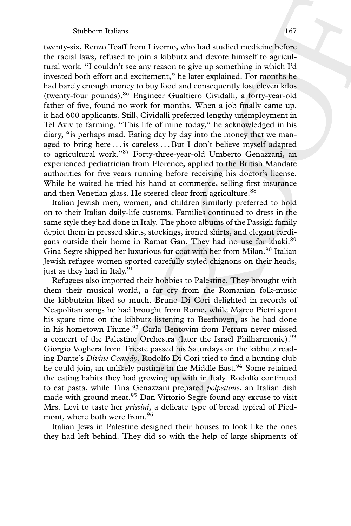twenty-six, Renzo Toaff from Livorno, who had studied medicine before the racial laws, refused to join a kibbutz and devote himself to agricultural work. "I couldn't see any reason to give up something in which I'd invested both effort and excitement," he later explained. For months he had barely enough money to buy food and consequently lost eleven kilos (twenty-four pounds).86 Engineer Gualtiero Cividalli, a forty-year-old father of five, found no work for months. When a job finally came up, it had 600 applicants. Still, Cividalli preferred lengthy unemployment in Tel Aviv to farming. "This life of mine today," he acknowledged in his diary, "is perhaps mad. Eating day by day into the money that we managed to bring here . . . is careless . . . But I don't believe myself adapted to agricultural work."<sup>87</sup> Forty-three-year-old Umberto Genazzani, an experienced pediatrician from Florence, applied to the British Mandate authorities for five years running before receiving his doctor's license. While he waited he tried his hand at commerce, selling first insurance and then Venetian glass. He steered clear from agriculture.<sup>88</sup>

Italian Jewish men, women, and children similarly preferred to hold on to their Italian daily-life customs. Families continued to dress in the same style they had done in Italy. The photo albums of the Passigli family depict them in pressed skirts, stockings, ironed shirts, and elegant cardigans outside their home in Ramat Gan. They had no use for khaki.<sup>89</sup> Gina Segre shipped her luxurious fur coat with her from Milan.<sup>90</sup> Italian Jewish refugee women sported carefully styled chignons on their heads, just as they had in Italy.<sup>91</sup>

Refugees also imported their hobbies to Palestine. They brought with them their musical world, a far cry from the Romanian folk-music the kibbutzim liked so much. Bruno Di Cori delighted in records of Neapolitan songs he had brought from Rome, while Marco Pietri spent his spare time on the kibbutz listening to Beethoven, as he had done in his hometown Fiume.<sup>92</sup> Carla Bentovim from Ferrara never missed a concert of the Palestine Orchestra (later the Israel Philharmonic).<sup>93</sup> Giorgio Voghera from Trieste passed his Saturdays on the kibbutz reading Dante's *Divine Comedy*. Rodolfo Di Cori tried to find a hunting club he could join, an unlikely pastime in the Middle East.<sup>94</sup> Some retained the eating habits they had growing up with in Italy. Rodolfo continued to eat pasta, while Tina Genazzani prepared *polpettone*, an Italian dish made with ground meat.<sup>95</sup> Dan Vittorio Segre found any excuse to visit Mrs. Levi to taste her *grissini*, a delicate type of bread typical of Piedmont, where both were from.<sup>96</sup>

Italian Jews in Palestine designed their houses to look like the ones they had left behind. They did so with the help of large shipments of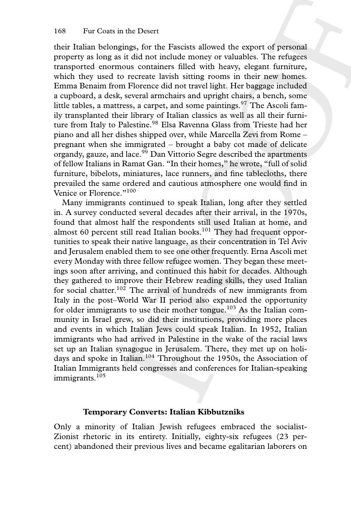their Italian belongings, for the Fascists allowed the export of personal property as long as it did not include money or valuables. The refugees transported enormous containers filled with heavy, elegant furniture, which they used to recreate lavish sitting rooms in their new homes. Emma Benaim from Florence did not travel light. Her baggage included a cupboard, a desk, several armchairs and upright chairs, a bench, some little tables, a mattress, a carpet, and some paintings.<sup>97</sup> The Ascoli family transplanted their library of Italian classics as well as all their furniture from Italy to Palestine.<sup>98</sup> Elsa Ravenna Glass from Trieste had her piano and all her dishes shipped over, while Marcella Zevi from Rome – pregnant when she immigrated – brought a baby cot made of delicate organdy, gauze, and lace.<sup>99</sup> Dan Vittorio Segre described the apartments of fellow Italians in Ramat Gan. "In their homes," he wrote, "full of solid furniture, bibelots, miniatures, lace runners, and fine tablecloths, there prevailed the same ordered and cautious atmosphere one would find in Venice or Florence."<sup>100</sup>

Many immigrants continued to speak Italian, long after they settled in. A survey conducted several decades after their arrival, in the 1970s, found that almost half the respondents still used Italian at home, and almost 60 percent still read Italian books. $101$  They had frequent opportunities to speak their native language, as their concentration in Tel Aviv and Jerusalem enabled them to see one other frequently. Erna Ascoli met every Monday with three fellow refugee women. They began these meetings soon after arriving, and continued this habit for decades. Although they gathered to improve their Hebrew reading skills, they used Italian for social chatter.<sup>102</sup> The arrival of hundreds of new immigrants from Italy in the post–World War II period also expanded the opportunity for older immigrants to use their mother tongue.<sup>103</sup> As the Italian community in Israel grew, so did their institutions, providing more places and events in which Italian Jews could speak Italian. In 1952, Italian immigrants who had arrived in Palestine in the wake of the racial laws set up an Italian synagogue in Jerusalem. There, they met up on holidays and spoke in Italian.<sup>104</sup> Throughout the 1950s, the Association of Italian Immigrants held congresses and conferences for Italian-speaking immigrants.<sup>105</sup>

#### **Temporary Converts: Italian Kibbutzniks**

Only a minority of Italian Jewish refugees embraced the socialist-Zionist rhetoric in its entirety. Initially, eighty-six refugees (23 percent) abandoned their previous lives and became egalitarian laborers on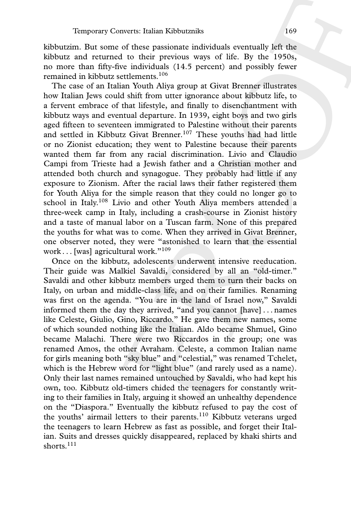kibbutzim. But some of these passionate individuals eventually left the kibbutz and returned to their previous ways of life. By the 1950s, no more than fifty-five individuals (14.5 percent) and possibly fewer remained in kibbutz settlements.<sup>106</sup>

The case of an Italian Youth Aliya group at Givat Brenner illustrates how Italian Jews could shift from utter ignorance about kibbutz life, to a fervent embrace of that lifestyle, and finally to disenchantment with kibbutz ways and eventual departure. In 1939, eight boys and two girls aged fifteen to seventeen immigrated to Palestine without their parents and settled in Kibbutz Givat Brenner.<sup>107</sup> These youths had had little or no Zionist education; they went to Palestine because their parents wanted them far from any racial discrimination. Livio and Claudio Campi from Trieste had a Jewish father and a Christian mother and attended both church and synagogue. They probably had little if any exposure to Zionism. After the racial laws their father registered them for Youth Aliya for the simple reason that they could no longer go to school in Italy.<sup>108</sup> Livio and other Youth Aliya members attended a three-week camp in Italy, including a crash-course in Zionist history and a taste of manual labor on a Tuscan farm. None of this prepared the youths for what was to come. When they arrived in Givat Brenner, one observer noted, they were "astonished to learn that the essential work . . . [was] agricultural work."<sup>109</sup>

Once on the kibbutz, adolescents underwent intensive reeducation. Their guide was Malkiel Savaldi, considered by all an "old-timer." Savaldi and other kibbutz members urged them to turn their backs on Italy, on urban and middle-class life, and on their families. Renaming was first on the agenda. "You are in the land of Israel now," Savaldi informed them the day they arrived, "and you cannot [have] . . . names like Celeste, Giulio, Gino, Riccardo." He gave them new names, some of which sounded nothing like the Italian. Aldo became Shmuel, Gino became Malachi. There were two Riccardos in the group; one was renamed Amos, the other Avraham. Celeste, a common Italian name for girls meaning both "sky blue" and "celestial," was renamed Tchelet, which is the Hebrew word for "light blue" (and rarely used as a name). Only their last names remained untouched by Savaldi, who had kept his own, too. Kibbutz old-timers chided the teenagers for constantly writing to their families in Italy, arguing it showed an unhealthy dependence on the "Diaspora." Eventually the kibbutz refused to pay the cost of the youths' airmail letters to their parents.<sup>110</sup> Kibbutz veterans urged the teenagers to learn Hebrew as fast as possible, and forget their Italian. Suits and dresses quickly disappeared, replaced by khaki shirts and shorts.<sup>111</sup>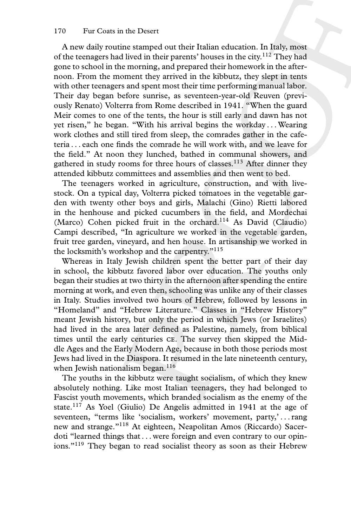A new daily routine stamped out their Italian education. In Italy, most of the teenagers had lived in their parents' houses in the city.<sup>112</sup> They had gone to school in the morning, and prepared their homework in the afternoon. From the moment they arrived in the kibbutz, they slept in tents with other teenagers and spent most their time performing manual labor. Their day began before sunrise, as seventeen-year-old Reuven (previously Renato) Volterra from Rome described in 1941. "When the guard Meir comes to one of the tents, the hour is still early and dawn has not yet risen," he began. "With his arrival begins the workday . . . Wearing work clothes and still tired from sleep, the comrades gather in the cafeteria . . . each one finds the comrade he will work with, and we leave for the field." At noon they lunched, bathed in communal showers, and gathered in study rooms for three hours of classes.<sup>113</sup> After dinner they attended kibbutz committees and assemblies and then went to bed.

The teenagers worked in agriculture, construction, and with livestock. On a typical day, Volterra picked tomatoes in the vegetable garden with twenty other boys and girls, Malachi (Gino) Rietti labored in the henhouse and picked cucumbers in the field, and Mordechai (Marco) Cohen picked fruit in the orchard.114 As David (Claudio) Campi described, "In agriculture we worked in the vegetable garden, fruit tree garden, vineyard, and hen house. In artisanship we worked in the locksmith's workshop and the carpentry."<sup>115</sup>

Whereas in Italy Jewish children spent the better part of their day in school, the kibbutz favored labor over education. The youths only began their studies at two thirty in the afternoon after spending the entire morning at work, and even then, schooling was unlike any of their classes in Italy. Studies involved two hours of Hebrew, followed by lessons in "Homeland" and "Hebrew Literature." Classes in "Hebrew History" meant Jewish history, but only the period in which Jews (or Israelites) had lived in the area later defined as Palestine, namely, from biblical times until the early centuries ce. The survey then skipped the Middle Ages and the Early Modern Age, because in both those periods most Jews had lived in the Diaspora. It resumed in the late nineteenth century, when Jewish nationalism began. $116$ 

The youths in the kibbutz were taught socialism, of which they knew absolutely nothing. Like most Italian teenagers, they had belonged to Fascist youth movements, which branded socialism as the enemy of the state.117 As Yoel (Giulio) De Angelis admitted in 1941 at the age of seventeen, "terms like 'socialism, workers' movement, party,'...rang new and strange."<sup>118</sup> At eighteen, Neapolitan Amos (Riccardo) Sacerdoti "learned things that . . . were foreign and even contrary to our opinions."<sup>119</sup> They began to read socialist theory as soon as their Hebrew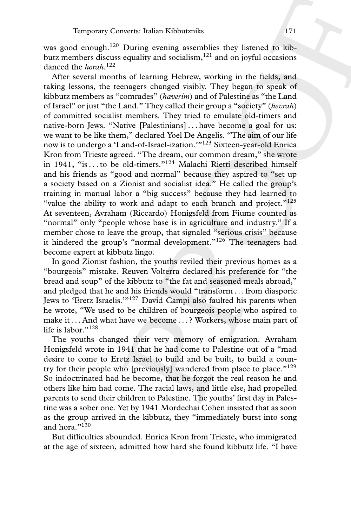was good enough.<sup>120</sup> During evening assemblies they listened to kibbutz members discuss equality and socialism, $121$  and on joyful occasions danced the *horah*. 122

After several months of learning Hebrew, working in the fields, and taking lessons, the teenagers changed visibly. They began to speak of kibbutz members as "comrades" (*haverim*) and of Palestine as "the Land of Israel" or just "the Land." They called their group a "society" (*hevrah*) of committed socialist members. They tried to emulate old-timers and native-born Jews. "Native [Palestinians] . . . have become a goal for us: we want to be like them," declared Yoel De Angelis. "The aim of our life now is to undergo a 'Land-of-Israel-ization.'"<sup>123</sup> Sixteen-year-old Enrica Kron from Trieste agreed. "The dream, our common dream," she wrote in 1941, "is . . . to be old-timers."124 Malachi Rietti described himself and his friends as "good and normal" because they aspired to "set up a society based on a Zionist and socialist idea." He called the group's training in manual labor a "big success" because they had learned to "value the ability to work and adapt to each branch and project." $125$ At seventeen, Avraham (Riccardo) Honigsfeld from Fiume counted as "normal" only "people whose base is in agriculture and industry." If a member chose to leave the group, that signaled "serious crisis" because it hindered the group's "normal development."<sup>126</sup> The teenagers had become expert at kibbutz lingo.

In good Zionist fashion, the youths reviled their previous homes as a "bourgeois" mistake. Reuven Volterra declared his preference for "the bread and soup" of the kibbutz to "the fat and seasoned meals abroad," and pledged that he and his friends would "transform . . . from diasporic Jews to 'Eretz Israelis.'"<sup>127</sup> David Campi also faulted his parents when he wrote, "We used to be children of bourgeois people who aspired to make it . . . And what have we become . . . ? Workers, whose main part of life is labor."<sup>128</sup>

The youths changed their very memory of emigration. Avraham Honigsfeld wrote in 1941 that he had come to Palestine out of a "mad desire to come to Eretz Israel to build and be built, to build a country for their people who [previously] wandered from place to place."<sup>129</sup> So indoctrinated had he become, that he forgot the real reason he and others like him had come. The racial laws, and little else, had propelled parents to send their children to Palestine. The youths' first day in Palestine was a sober one. Yet by 1941 Mordechai Cohen insisted that as soon as the group arrived in the kibbutz, they "immediately burst into song and hora."<sup>130</sup>

But difficulties abounded. Enrica Kron from Trieste, who immigrated at the age of sixteen, admitted how hard she found kibbutz life. "I have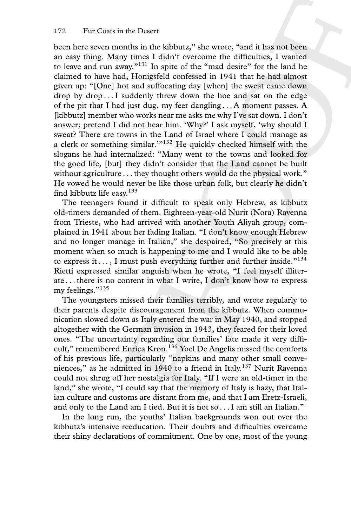been here seven months in the kibbutz," she wrote, "and it has not been an easy thing. Many times I didn't overcome the difficulties, I wanted to leave and run away."<sup>131</sup> In spite of the "mad desire" for the land he claimed to have had, Honigsfeld confessed in 1941 that he had almost given up: "[One] hot and suffocating day [when] the sweat came down drop by drop . . . I suddenly threw down the hoe and sat on the edge of the pit that I had just dug, my feet dangling . . . A moment passes. A [kibbutz] member who works near me asks me why I've sat down. I don't answer; pretend I did not hear him. 'Why?' I ask myself, 'why should I sweat? There are towns in the Land of Israel where I could manage as a clerk or something similar.'"<sup>132</sup> He quickly checked himself with the slogans he had internalized: "Many went to the towns and looked for the good life, [but] they didn't consider that the Land cannot be built without agriculture . . . they thought others would do the physical work." He vowed he would never be like those urban folk, but clearly he didn't find kibbutz life easy.<sup>133</sup>

The teenagers found it difficult to speak only Hebrew, as kibbutz old-timers demanded of them. Eighteen-year-old Nurit (Nora) Ravenna from Trieste, who had arrived with another Youth Aliyah group, complained in 1941 about her fading Italian. "I don't know enough Hebrew and no longer manage in Italian," she despaired, "So precisely at this moment when so much is happening to me and I would like to be able to express it ..., I must push everything further and further inside."<sup>134</sup> Rietti expressed similar anguish when he wrote, "I feel myself illiterate . . . there is no content in what I write, I don't know how to express my feelings."135

The youngsters missed their families terribly, and wrote regularly to their parents despite discouragement from the kibbutz. When communication slowed down as Italy entered the war in May 1940, and stopped altogether with the German invasion in 1943, they feared for their loved ones. "The uncertainty regarding our families' fate made it very difficult," remembered Enrica Kron.<sup>136</sup> Yoel De Angelis missed the comforts of his previous life, particularly "napkins and many other small conveniences," as he admitted in 1940 to a friend in Italy.<sup>137</sup> Nurit Ravenna could not shrug off her nostalgia for Italy. "If I were an old-timer in the land," she wrote, "I could say that the memory of Italy is hazy, that Italian culture and customs are distant from me, and that I am Eretz-Israeli, and only to the Land am I tied. But it is not so . . . I am still an Italian."

In the long run, the youths' Italian backgrounds won out over the kibbutz's intensive reeducation. Their doubts and difficulties overcame their shiny declarations of commitment. One by one, most of the young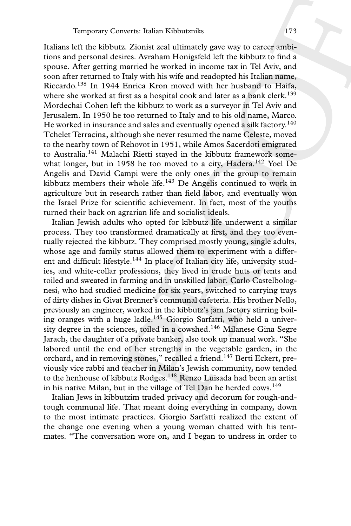Italians left the kibbutz. Zionist zeal ultimately gave way to career ambitions and personal desires. Avraham Honigsfeld left the kibbutz to find a spouse. After getting married he worked in income tax in Tel Aviv, and soon after returned to Italy with his wife and readopted his Italian name, Riccardo.138 In 1944 Enrica Kron moved with her husband to Haifa, where she worked at first as a hospital cook and later as a bank clerk.<sup>139</sup> Mordechai Cohen left the kibbutz to work as a surveyor in Tel Aviv and Jerusalem. In 1950 he too returned to Italy and to his old name, Marco. He worked in insurance and sales and eventually opened a silk factory.<sup>140</sup> Tchelet Terracina, although she never resumed the name Celeste, moved to the nearby town of Rehovot in 1951, while Amos Sacerdoti emigrated to Australia.<sup>141</sup> Malachi Rietti stayed in the kibbutz framework somewhat longer, but in 1958 he too moved to a city, Hadera.<sup>142</sup> Yoel De Angelis and David Campi were the only ones in the group to remain kibbutz members their whole life.<sup>143</sup> De Angelis continued to work in agriculture but in research rather than field labor, and eventually won the Israel Prize for scientific achievement. In fact, most of the youths turned their back on agrarian life and socialist ideals.

Italian Jewish adults who opted for kibbutz life underwent a similar process. They too transformed dramatically at first, and they too eventually rejected the kibbutz. They comprised mostly young, single adults, whose age and family status allowed them to experiment with a different and difficult lifestyle.<sup>144</sup> In place of Italian city life, university studies, and white-collar professions, they lived in crude huts or tents and toiled and sweated in farming and in unskilled labor. Carlo Castelbolognesi, who had studied medicine for six years, switched to carrying trays of dirty dishes in Givat Brenner's communal cafeteria. His brother Nello, previously an engineer, worked in the kibbutz's jam factory stirring boiling oranges with a huge ladle.<sup>145</sup> Giorgio Sarfatti, who held a university degree in the sciences, toiled in a cowshed.<sup>146</sup> Milanese Gina Segre Jarach, the daughter of a private banker, also took up manual work. "She labored until the end of her strengths in the vegetable garden, in the orchard, and in removing stones," recalled a friend.<sup>147</sup> Berti Eckert, previously vice rabbi and teacher in Milan's Jewish community, now tended to the henhouse of kibbutz Rodges.<sup>148</sup> Renzo Luisada had been an artist in his native Milan, but in the village of Tel Dan he herded cows.<sup>149</sup>

Italian Jews in kibbutzim traded privacy and decorum for rough-andtough communal life. That meant doing everything in company, down to the most intimate practices. Giorgio Sarfatti realized the extent of the change one evening when a young woman chatted with his tentmates. "The conversation wore on, and I began to undress in order to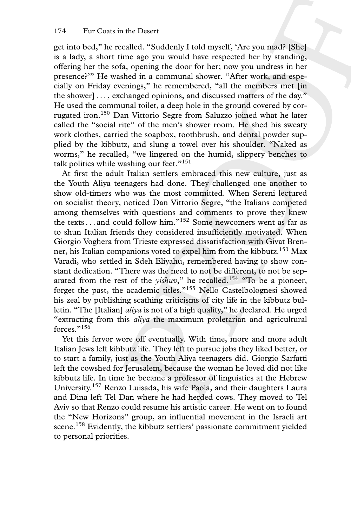get into bed," he recalled. "Suddenly I told myself, 'Are you mad? [She] is a lady, a short time ago you would have respected her by standing, offering her the sofa, opening the door for her; now you undress in her presence?'" He washed in a communal shower. "After work, and especially on Friday evenings," he remembered, "all the members met [in the shower] ..., exchanged opinions, and discussed matters of the day." He used the communal toilet, a deep hole in the ground covered by corrugated iron.150 Dan Vittorio Segre from Saluzzo joined what he later called the "social rite" of the men's shower room. He shed his sweaty work clothes, carried the soapbox, toothbrush, and dental powder supplied by the kibbutz, and slung a towel over his shoulder. "Naked as worms," he recalled, "we lingered on the humid, slippery benches to talk politics while washing our feet."<sup>151</sup>

At first the adult Italian settlers embraced this new culture, just as the Youth Aliya teenagers had done. They challenged one another to show old-timers who was the most committed. When Sereni lectured on socialist theory, noticed Dan Vittorio Segre, "the Italians competed among themselves with questions and comments to prove they knew the texts  $\dots$  and could follow him."<sup>152</sup> Some newcomers went as far as to shun Italian friends they considered insufficiently motivated. When Giorgio Voghera from Trieste expressed dissatisfaction with Givat Brenner, his Italian companions voted to expel him from the kibbutz.<sup>153</sup> Max Varadi, who settled in Sdeh Eliyahu, remembered having to show constant dedication. "There was the need to not be different, to not be separated from the rest of the *yishuv*," he recalled.<sup>154</sup> "To be a pioneer, forget the past, the academic titles."155 Nello Castelbolognesi showed his zeal by publishing scathing criticisms of city life in the kibbutz bulletin. "The [Italian] *aliya* is not of a high quality," he declared. He urged "extracting from this *aliya* the maximum proletarian and agricultural forces."<sup>156</sup>

Yet this fervor wore off eventually. With time, more and more adult Italian Jews left kibbutz life. They left to pursue jobs they liked better, or to start a family, just as the Youth Aliya teenagers did. Giorgio Sarfatti left the cowshed for Jerusalem, because the woman he loved did not like kibbutz life. In time he became a professor of linguistics at the Hebrew University.157 Renzo Luisada, his wife Paola, and their daughters Laura and Dina left Tel Dan where he had herded cows. They moved to Tel Aviv so that Renzo could resume his artistic career. He went on to found the "New Horizons" group, an influential movement in the Israeli art scene.<sup>158</sup> Evidently, the kibbutz settlers' passionate commitment yielded to personal priorities.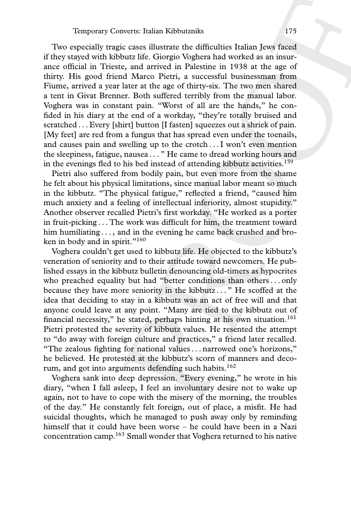Two especially tragic cases illustrate the difficulties Italian Jews faced if they stayed with kibbutz life. Giorgio Voghera had worked as an insurance official in Trieste, and arrived in Palestine in 1938 at the age of thirty. His good friend Marco Pietri, a successful businessman from Fiume, arrived a year later at the age of thirty-six. The two men shared a tent in Givat Brenner. Both suffered terribly from the manual labor. Voghera was in constant pain. "Worst of all are the hands," he confided in his diary at the end of a workday, "they're totally bruised and scratched . . . Every [shirt] button [I fasten] squeezes out a shriek of pain. [My feet] are red from a fungus that has spread even under the toenails, and causes pain and swelling up to the crotch . . . I won't even mention the sleepiness, fatigue, nausea . . . " He came to dread working hours and in the evenings fled to his bed instead of attending kibbutz activities.<sup>159</sup>

Pietri also suffered from bodily pain, but even more from the shame he felt about his physical limitations, since manual labor meant so much in the kibbutz. "The physical fatigue," reflected a friend, "caused him much anxiety and a feeling of intellectual inferiority, almost stupidity." Another observer recalled Pietri's first workday. "He worked as a porter in fruit-picking . . . The work was difficult for him, the treatment toward him humiliating . . . , and in the evening he came back crushed and broken in body and in spirit."<sup>160</sup>

Voghera couldn't get used to kibbutz life. He objected to the kibbutz's veneration of seniority and to their attitude toward newcomers. He published essays in the kibbutz bulletin denouncing old-timers as hypocrites who preached equality but had "better conditions than others . . . only because they have more seniority in the kibbutz . . . " He scoffed at the idea that deciding to stay in a kibbutz was an act of free will and that anyone could leave at any point. "Many are tied to the kibbutz out of financial necessity," he stated, perhaps hinting at his own situation.<sup>161</sup> Pietri protested the severity of kibbutz values. He resented the attempt to "do away with foreign culture and practices," a friend later recalled. "The zealous fighting for national values . . . narrowed one's horizons," he believed. He protested at the kibbutz's scorn of manners and decorum, and got into arguments defending such habits.<sup>162</sup>

Voghera sank into deep depression. "Every evening," he wrote in his diary, "when I fall asleep, I feel an involuntary desire not to wake up again, not to have to cope with the misery of the morning, the troubles of the day." He constantly felt foreign, out of place, a misfit. He had suicidal thoughts, which he managed to push away only by reminding himself that it could have been worse – he could have been in a Nazi concentration camp.163 Small wonder that Voghera returned to his native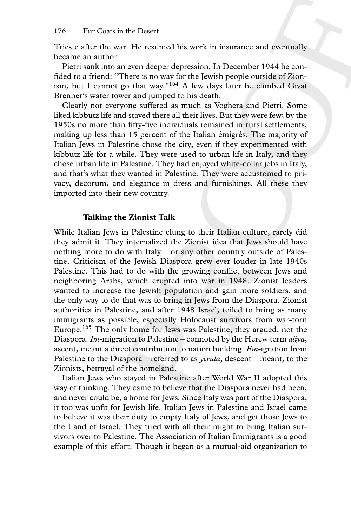Trieste after the war. He resumed his work in insurance and eventually became an author.

Pietri sank into an even deeper depression. In December 1944 he confided to a friend: "There is no way for the Jewish people outside of Zionism, but I cannot go that way."<sup>164</sup> A few days later he climbed Givat Brenner's water tower and jumped to his death.

Clearly not everyone suffered as much as Voghera and Pietri. Some liked kibbutz life and stayed there all their lives. But they were few; by the 1950s no more than fifty-five individuals remained in rural settlements, making up less than 15 percent of the Italian émigrés. The majority of Italian Jews in Palestine chose the city, even if they experimented with kibbutz life for a while. They were used to urban life in Italy, and they chose urban life in Palestine. They had enjoyed white-collar jobs in Italy, and that's what they wanted in Palestine. They were accustomed to privacy, decorum, and elegance in dress and furnishings. All these they imported into their new country.

#### **Talking the Zionist Talk**

While Italian Jews in Palestine clung to their Italian culture, rarely did they admit it. They internalized the Zionist idea that Jews should have nothing more to do with Italy – or any other country outside of Palestine. Criticism of the Jewish Diaspora grew ever louder in late 1940s Palestine. This had to do with the growing conflict between Jews and neighboring Arabs, which erupted into war in 1948. Zionist leaders wanted to increase the Jewish population and gain more soldiers, and the only way to do that was to bring in Jews from the Diaspora. Zionist authorities in Palestine, and after 1948 Israel, toiled to bring as many immigrants as possible, especially Holocaust survivors from war-torn Europe.<sup>165</sup> The only home for Jews was Palestine, they argued, not the Diaspora. *Im-*migration to Palestine – connoted by the Herew term *aliya*, ascent, meant a direct contribution to nation building. *Em-*igration from Palestine to the Diaspora – referred to as *yerida*, descent – meant, to the Zionists, betrayal of the homeland.

Italian Jews who stayed in Palestine after World War II adopted this way of thinking. They came to believe that the Diaspora never had been, and never could be, a home for Jews. Since Italy was part of the Diaspora, it too was unfit for Jewish life. Italian Jews in Palestine and Israel came to believe it was their duty to empty Italy of Jews, and get those Jews to the Land of Israel. They tried with all their might to bring Italian survivors over to Palestine. The Association of Italian Immigrants is a good example of this effort. Though it began as a mutual-aid organization to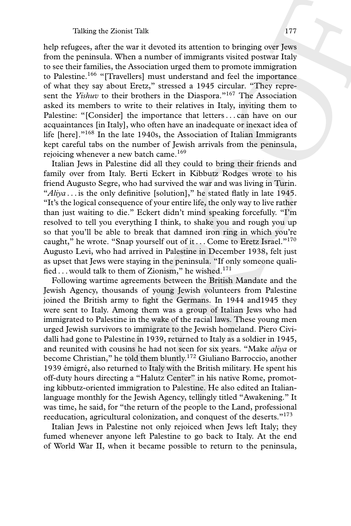help refugees, after the war it devoted its attention to bringing over Jews from the peninsula. When a number of immigrants visited postwar Italy to see their families, the Association urged them to promote immigration to Palestine.<sup>166</sup> "[Travellers] must understand and feel the importance of what they say about Eretz," stressed a 1945 circular. "They represent the *Yishuv* to their brothers in the Diaspora."167 The Association asked its members to write to their relatives in Italy, inviting them to Palestine: "[Consider] the importance that letters . . . can have on our acquaintances [in Italy], who often have an inadequate or inexact idea of life [here]."<sup>168</sup> In the late 1940s, the Association of Italian Immigrants kept careful tabs on the number of Jewish arrivals from the peninsula, rejoicing whenever a new batch came.<sup>169</sup>

Italian Jews in Palestine did all they could to bring their friends and family over from Italy. Berti Eckert in Kibbutz Rodges wrote to his friend Augusto Segre, who had survived the war and was living in Turin. "*Aliya* . . . is the only definitive [solution]," he stated flatly in late 1945. "It's the logical consequence of your entire life, the only way to live rather than just waiting to die." Eckert didn't mind speaking forcefully. "I'm resolved to tell you everything I think, to shake you and rough you up so that you'll be able to break that damned iron ring in which you're caught," he wrote. "Snap yourself out of it... Come to Eretz Israel."<sup>170</sup> Augusto Levi, who had arrived in Palestine in December 1938, felt just as upset that Jews were staying in the peninsula. "If only someone qualified ... would talk to them of Zionism," he wished.<sup>171</sup>

Following wartime agreements between the British Mandate and the Jewish Agency, thousands of young Jewish volunteers from Palestine joined the British army to fight the Germans. In 1944 and1945 they were sent to Italy. Among them was a group of Italian Jews who had immigrated to Palestine in the wake of the racial laws. These young men urged Jewish survivors to immigrate to the Jewish homeland. Piero Cividalli had gone to Palestine in 1939, returned to Italy as a soldier in 1945, and reunited with cousins he had not seen for six years. "Make *aliya* or become Christian," he told them bluntly.<sup>172</sup> Giuliano Barroccio, another 1939 émigré, also returned to Italy with the British military. He spent his off-duty hours directing a "Halutz Center" in his native Rome, promoting kibbutz-oriented immigration to Palestine. He also edited an Italianlanguage monthly for the Jewish Agency, tellingly titled "Awakening." It was time, he said, for "the return of the people to the Land, professional reeducation, agricultural colonization, and conquest of the deserts."<sup>173</sup>

Italian Jews in Palestine not only rejoiced when Jews left Italy; they fumed whenever anyone left Palestine to go back to Italy. At the end of World War II, when it became possible to return to the peninsula,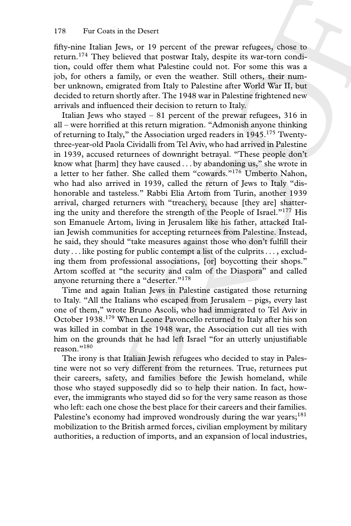fifty-nine Italian Jews, or 19 percent of the prewar refugees, chose to return.<sup>174</sup> They believed that postwar Italy, despite its war-torn condition, could offer them what Palestine could not. For some this was a job, for others a family, or even the weather. Still others, their number unknown, emigrated from Italy to Palestine after World War II, but decided to return shortly after. The 1948 war in Palestine frightened new arrivals and influenced their decision to return to Italy.

Italian Jews who stayed – 81 percent of the prewar refugees, 316 in all – were horrified at this return migration. "Admonish anyone thinking of returning to Italy," the Association urged readers in 1945.<sup>175</sup> Twentythree-year-old Paola Cividalli from Tel Aviv, who had arrived in Palestine in 1939, accused returnees of downright betrayal. "These people don't know what [harm] they have caused . . . by abandoning us," she wrote in a letter to her father. She called them "cowards."176 Umberto Nahon, who had also arrived in 1939, called the return of Jews to Italy "dishonorable and tasteless." Rabbi Elia Artom from Turin, another 1939 arrival, charged returners with "treachery, because [they are] shattering the unity and therefore the strength of the People of Israel."<sup>177</sup> His son Emanuele Artom, living in Jerusalem like his father, attacked Italian Jewish communities for accepting returnees from Palestine. Instead, he said, they should "take measures against those who don't fulfill their duty . . . like posting for public contempt a list of the culprits . . . , excluding them from professional associations, [or] boycotting their shops." Artom scoffed at "the security and calm of the Diaspora" and called anyone returning there a "deserter."<sup>178</sup>

Time and again Italian Jews in Palestine castigated those returning to Italy. "All the Italians who escaped from Jerusalem – pigs, every last one of them," wrote Bruno Ascoli, who had immigrated to Tel Aviv in October 1938.179 When Leone Pavoncello returned to Italy after his son was killed in combat in the 1948 war, the Association cut all ties with him on the grounds that he had left Israel "for an utterly unjustifiable reason."<sup>180</sup>

The irony is that Italian Jewish refugees who decided to stay in Palestine were not so very different from the returnees. True, returnees put their careers, safety, and families before the Jewish homeland, while those who stayed supposedly did so to help their nation. In fact, however, the immigrants who stayed did so for the very same reason as those who left: each one chose the best place for their careers and their families. Palestine's economy had improved wondrously during the war years;<sup>181</sup> mobilization to the British armed forces, civilian employment by military authorities, a reduction of imports, and an expansion of local industries,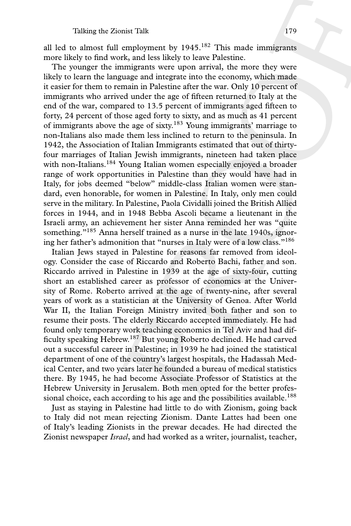all led to almost full employment by  $1945$ .<sup>182</sup> This made immigrants more likely to find work, and less likely to leave Palestine.

The younger the immigrants were upon arrival, the more they were likely to learn the language and integrate into the economy, which made it easier for them to remain in Palestine after the war. Only 10 percent of immigrants who arrived under the age of fifteen returned to Italy at the end of the war, compared to 13.5 percent of immigrants aged fifteen to forty, 24 percent of those aged forty to sixty, and as much as 41 percent of immigrants above the age of sixty.183 Young immigrants' marriage to non-Italians also made them less inclined to return to the peninsula. In 1942, the Association of Italian Immigrants estimated that out of thirtyfour marriages of Italian Jewish immigrants, nineteen had taken place with non-Italians.<sup>184</sup> Young Italian women especially enjoyed a broader range of work opportunities in Palestine than they would have had in Italy, for jobs deemed "below" middle-class Italian women were standard, even honorable, for women in Palestine. In Italy, only men could serve in the military. In Palestine, Paola Cividalli joined the British Allied forces in 1944, and in 1948 Bebba Ascoli became a lieutenant in the Israeli army, an achievement her sister Anna reminded her was "quite something."<sup>185</sup> Anna herself trained as a nurse in the late 1940s, ignoring her father's admonition that "nurses in Italy were of a low class."186

Italian Jews stayed in Palestine for reasons far removed from ideology. Consider the case of Riccardo and Roberto Bachi, father and son. Riccardo arrived in Palestine in 1939 at the age of sixty-four, cutting short an established career as professor of economics at the University of Rome. Roberto arrived at the age of twenty-nine, after several years of work as a statistician at the University of Genoa. After World War II, the Italian Foreign Ministry invited both father and son to resume their posts. The elderly Riccardo accepted immediately. He had found only temporary work teaching economics in Tel Aviv and had difficulty speaking Hebrew.187 But young Roberto declined. He had carved out a successful career in Palestine; in 1939 he had joined the statistical department of one of the country's largest hospitals, the Hadassah Medical Center, and two years later he founded a bureau of medical statistics there. By 1945, he had become Associate Professor of Statistics at the Hebrew University in Jerusalem. Both men opted for the better professional choice, each according to his age and the possibilities available.<sup>188</sup>

Just as staying in Palestine had little to do with Zionism, going back to Italy did not mean rejecting Zionism. Dante Lattes had been one of Italy's leading Zionists in the prewar decades. He had directed the Zionist newspaper *Israel*, and had worked as a writer, journalist, teacher,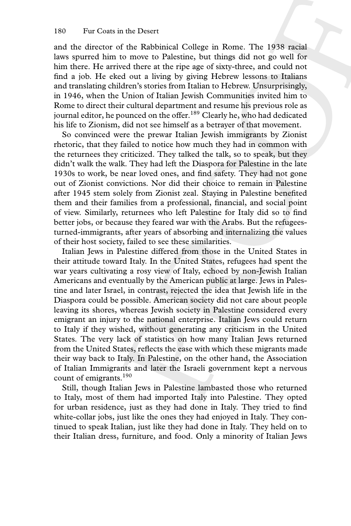and the director of the Rabbinical College in Rome. The 1938 racial laws spurred him to move to Palestine, but things did not go well for him there. He arrived there at the ripe age of sixty-three, and could not find a job. He eked out a living by giving Hebrew lessons to Italians and translating children's stories from Italian to Hebrew. Unsurprisingly, in 1946, when the Union of Italian Jewish Communities invited him to Rome to direct their cultural department and resume his previous role as journal editor, he pounced on the offer.<sup>189</sup> Clearly he, who had dedicated his life to Zionism, did not see himself as a betrayer of that movement.

So convinced were the prewar Italian Jewish immigrants by Zionist rhetoric, that they failed to notice how much they had in common with the returnees they criticized. They talked the talk, so to speak, but they didn't walk the walk. They had left the Diaspora for Palestine in the late 1930s to work, be near loved ones, and find safety. They had not gone out of Zionist convictions. Nor did their choice to remain in Palestine after 1945 stem solely from Zionist zeal. Staying in Palestine benefited them and their families from a professional, financial, and social point of view. Similarly, returnees who left Palestine for Italy did so to find better jobs, or because they feared war with the Arabs. But the refugeesturned-immigrants, after years of absorbing and internalizing the values of their host society, failed to see these similarities.

Italian Jews in Palestine differed from those in the United States in their attitude toward Italy. In the United States, refugees had spent the war years cultivating a rosy view of Italy, echoed by non-Jewish Italian Americans and eventually by the American public at large. Jews in Palestine and later Israel, in contrast, rejected the idea that Jewish life in the Diaspora could be possible. American society did not care about people leaving its shores, whereas Jewish society in Palestine considered every emigrant an injury to the national enterprise. Italian Jews could return to Italy if they wished, without generating any criticism in the United States. The very lack of statistics on how many Italian Jews returned from the United States, reflects the ease with which these migrants made their way back to Italy. In Palestine, on the other hand, the Association of Italian Immigrants and later the Israeli government kept a nervous count of emigrants.<sup>190</sup>

Still, though Italian Jews in Palestine lambasted those who returned to Italy, most of them had imported Italy into Palestine. They opted for urban residence, just as they had done in Italy. They tried to find white-collar jobs, just like the ones they had enjoyed in Italy. They continued to speak Italian, just like they had done in Italy. They held on to their Italian dress, furniture, and food. Only a minority of Italian Jews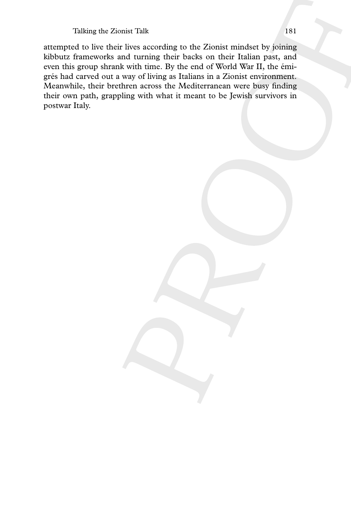attempted to live their lives according to the Zionist mindset by joining kibbutz frameworks and turning their backs on their Italian past, and even this group shrank with time. By the end of World War II, the émigrés had carved out a way of living as Italians in a Zionist environment. Meanwhile, their brethren across the Mediterranean were busy finding their own path, grappling with what it meant to be Jewish survivors in postwar Italy.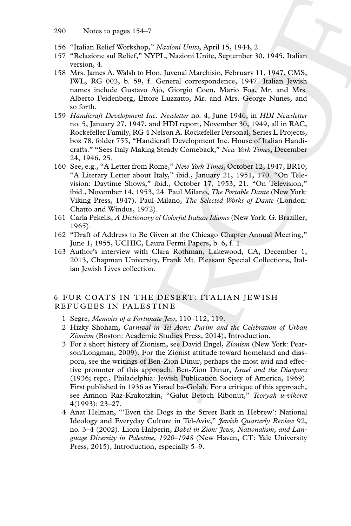- 156 "Italian Relief Workshop," *Nazioni Unite*, April 15, 1944, 2.
- 157 "Relazione sul Relief," NYPL, Nazioni Unite, September 30, 1945, Italian version, 4.
- 158 Mrs. James A. Walsh to Hon. Juvenal Marchisio, February 11, 1947, CMS, IWL, RG 003, b. 59, f. General correspondence, 1947. Italian Jewish names include Gustavo Ajò, Giorgio Coen, Mario Foa, Mr. and Mrs. Alberto Feidenberg, Ettore Luzzatto, Mr. and Mrs. George Nunes, and so forth.
- 159 *Handicraft Development Inc. Newletter* no. 4, June 1946, in *HDI Newsletter* no. 5, January 27, 1947, and HDI report, November 30, 1949, all in RAC, Rockefeller Family, RG 4 Nelson A. Rockefeller Personal, Series L Projects, box 78, folder 755, "Handicraft Development Inc. House of Italian Handicrafts." "Sees Italy Making Steady Comeback," *New York Times*, December 24, 1946, 25.
- 160 See, e.g., "A Letter from Rome," *New York Times*, October 12, 1947, BR10; "A Literary Letter about Italy," ibid., January 21, 1951, 170. "On Television: Daytime Shows," ibid., October 17, 1953, 21. "On Television," ibid., November 14, 1953, 24. Paul Milano, *The Portable Dante* (New York: Viking Press, 1947). Paul Milano, *The Selected Works of Dante* (London: Chatto and Windus, 1972).
- 161 Carla Pekelis, *A Dictionary of Colorful Italian Idioms* (New York: G. Braziller, 1965).
- 162 "Draft of Address to Be Given at the Chicago Chapter Annual Meeting," June 1, 1955, UCHIC, Laura Fermi Papers, b. 6, f. 1.
- 163 Author's interview with Clara Rothman, Lakewood, CA, December 1, 2013, Chapman University, Frank Mt. Pleasant Special Collections, Italian Jewish Lives collection.

#### 6 FUR COATS IN THE DESERT: ITALIAN JEWISH REFUGEES IN PALESTIN E

- 1 Segre, *Memoirs of a Fortunate Jew*, 110–112, 119.
- 2 Hizky Shoham, *Carnival in Tel Aviv: Purim and the Celebration of Urban Zionism* (Boston: Academic Studies Press, 2014), Introduction.
- 3 For a short history of Zionism, see David Engel, *Zionism* (New York: Pearson/Longman, 2009). For the Zionist attitude toward homeland and diaspora, see the writings of Ben-Zion Dinur, perhaps the most avid and effective promoter of this approach. Ben-Zion Dinur, *Israel and the Diaspora* (1936; repr., Philadelphia: Jewish Publication Society of America, 1969). First published in 1936 as Yisrael ba-Golah. For a critique of this approach, see Amnon Raz-Krakotzkin, "Galut Betoch Ribonut," *Teoryah u-vikoret* 4(1993): 23–27.
- 4 Anat Helman, "'Even the Dogs in the Street Bark in Hebrew': National Ideology and Everyday Culture in Tel-Aviv," *Jewish Quarterly Review* 92, no. 3–4 (2002). Liora Halperin, *Babel in Zion: Jews, Nationalism, and Language Diversity in Palestine, 1920–1948* (New Haven, CT: Yale University Press, 2015), Introduction, especially 5–9.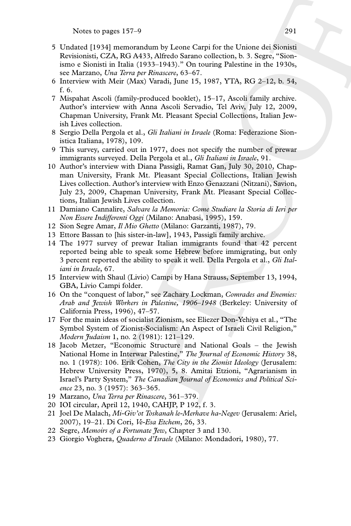- 5 Undated [1934] memorandum by Leone Carpi for the Unione dei Sionisti Revisionisti, CZA, RG A433, Alfredo Sarano collection, b. 3. Segre, "Sionismo e Sionisti in Italia (1933–1943)." On touring Palestine in the 1930s, see Marzano, *Una Terra per Rinascere*, 63–67.
- 6 Interview with Meir (Max) Varadi, June 15, 1987, YTA, RG 2–12, b. 54, f. 6.
- 7 Mispahat Ascoli (family-produced booklet), 15–17, Ascoli family archive. Author's interview with Anna Ascoli Servadio, Tel Aviv, July 12, 2009, Chapman University, Frank Mt. Pleasant Special Collections, Italian Jewish Lives collection.
- 8 Sergio Della Pergola et al., *Gli Italiani in Israele* (Roma: Federazione Sionistica Italiana, 1978), 109.
- 9 This survey, carried out in 1977, does not specify the number of prewar immigrants surveyed. Della Pergola et al., *Gli Italiani in Israele*, 91.
- 10 Author's interview with Diana Passigli, Ramat Gan, July 30, 2010, Chapman University, Frank Mt. Pleasant Special Collections, Italian Jewish Lives collection. Author's interview with Enzo Genazzani (Nitzani), Savion, July 23, 2009, Chapman University, Frank Mt. Pleasant Special Collections, Italian Jewish Lives collection.
- 11 Damiano Cannalire, *Salvare la Memoria: Come Studiare la Storia di Ieri per Non Essere Indifferenti Oggi* (Milano: Anabasi, 1995), 159.
- 12 Sion Segre Amar, *Il Mio Ghetto* (Milano: Garzanti, 1987), 79.
- 13 Ettore Bassan to [his sister-in-law], 1943, Passigli family archive.
- 14 The 1977 survey of prewar Italian immigrants found that 42 percent reported being able to speak some Hebrew before immigrating, but only 3 percent reported the ability to speak it well. Della Pergola et al., *Gli Italiani in Israele*, 67.
- 15 Interview with Shaul (Livio) Campi by Hana Strauss, September 13, 1994, GBA, Livio Campi folder.
- 16 On the "conquest of labor," see Zachary Lockman, *Comrades and Enemies: Arab and Jewish Workers in Palestine, 1906–1948* (Berkeley: University of California Press, 1996), 47–57.
- 17 For the main ideas of socialist Zionism, see Eliezer Don-Yehiya et al., "The Symbol System of Zionist-Socialism: An Aspect of Israeli Civil Religion," *Modern Judaism* 1, no. 2 (1981): 121–129.
- 18 Jacob Metzer, "Economic Structure and National Goals the Jewish National Home in Interwar Palestine," *The Journal of Economic History* 38, no. 1 (1978): 106. Erik Cohen, *The City in the Zionist Ideology* (Jerusalem: Hebrew University Press, 1970), 5, 8. Amitai Etzioni, "Agrarianism in Israel's Party System," *The Canadian Journal of Economics and Political Science* 23, no. 3 (1957): 363–365.
- 19 Marzano, *Una Terra per Rinascere*, 361–379.
- 20 IOI circular, April 12, 1940, CAHJP, P 192, f. 3.
- 21 Joel De Malach, *Mi-Giv'ot Toskanah le-Merhave ha-Negev* (Jerusalem: Ariel, 2007), 19–21. Di Cori, *Ve-Esa Etchem*, 26, 33.
- 22 Segre, *Memoirs of a Fortunate Jew*, Chapter 3 and 130.
- 23 Giorgio Voghera, *Quaderno d'Israele* (Milano: Mondadori, 1980), 77.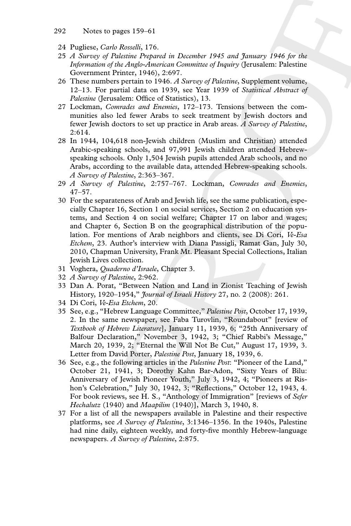- 24 Pugliese, *Carlo Rosselli*, 176.
- 25 *A Survey of Palestine Prepared in December 1945 and January 1946 for the Information of the Anglo-American Committee of Inquiry* (Jerusalem: Palestine Government Printer, 1946), 2:697.
- 26 These numbers pertain to 1946. *A Survey of Palestine*, Supplement volume, 12–13. For partial data on 1939, see Year 1939 of *Statistical Abstract of Palestine* (Jerusalem: Office of Statistics), 13.
- 27 Lockman, *Comrades and Enemies*, 172–173. Tensions between the communities also led fewer Arabs to seek treatment by Jewish doctors and fewer Jewish doctors to set up practice in Arab areas. *A Survey of Palestine*, 2:614.
- 28 In 1944, 104,618 non-Jewish children (Muslim and Christian) attended Arabic-speaking schools, and 97,991 Jewish children attended Hebrewspeaking schools. Only 1,504 Jewish pupils attended Arab schools, and no Arabs, according to the available data, attended Hebrew-speaking schools. *A Survey of Palestine*, 2:363–367.
- 29 *A Survey of Palestine*, 2:757–767. Lockman, *Comrades and Enemies*, 47–57.
- 30 For the separateness of Arab and Jewish life, see the same publication, especially Chapter 16, Section 1 on social services, Section 2 on education systems, and Section 4 on social welfare; Chapter 17 on labor and wages; and Chapter 6, Section B on the geographical distribution of the population. For mentions of Arab neighbors and clients, see Di Cori, *Ve-Esa Etchem*, 23. Author's interview with Diana Passigli, Ramat Gan, July 30, 2010, Chapman University, Frank Mt. Pleasant Special Collections, Italian Jewish Lives collection.
- 31 Voghera, *Quaderno d'Israele*, Chapter 3.
- 32 *A Survey of Palestine*, 2:962.
- 33 Dan A. Porat, "Between Nation and Land in Zionist Teaching of Jewish History, 1920–1954," *Journal of Israeli History* 27, no. 2 (2008): 261.
- 34 Di Cori, *Ve-Esa Etchem*, 20.
- 35 See, e.g., "Hebrew Language Committee," *Palestine Post*, October 17, 1939, 2. In the same newspaper, see Faba Turovlin, "Roundabout" [review of *Textbook of Hebrew Literature*], January 11, 1939, 6; "25th Anniversary of Balfour Declaration," November 3, 1942, 3; "Chief Rabbi's Message," March 20, 1939, 2; "Eternal the Will Not Be Cut," August 17, 1939, 3. Letter from David Porter, *Palestine Post*, January 18, 1939, 6.
- 36 See, e.g., the following articles in the *Palestine Post*: "Pioneer of the Land," October 21, 1941, 3; Dorothy Kahn Bar-Adon, "Sixty Years of Bilu: Anniversary of Jewish Pioneer Youth," July 3, 1942, 4; "Pioneers at Rishon's Celebration," July 30, 1942, 3; "Reflections," October 12, 1943, 4. For book reviews, see H. S., "Anthology of Immigration" [reviews of *Sefer Hechalutz* (1940) and *Maapilim* (1940)], March 3, 1940, 8.
- 37 For a list of all the newspapers available in Palestine and their respective platforms, see *A Survey of Palestine*, 3:1346–1356. In the 1940s, Palestine had nine daily, eighteen weekly, and forty-five monthly Hebrew-language newspapers. *A Survey of Palestine*, 2:875.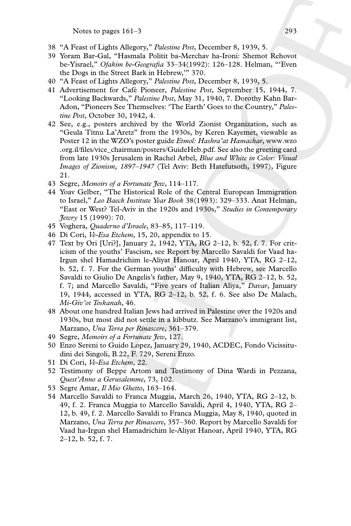- 38 "A Feast of Lights Allegory," *Palestine Post*, December 8, 1939, 5.
- 39 Yoram Bar-Gal, "Hasmala Politit ba-Merchav ha-Ironi: Shemot Rehovot be-Yisrael," *Ofakim be-Geografia* 33–34(1992): 126–128. Helman, "'Even the Dogs in the Street Bark in Hebrew,'" 370.
- 40 "A Feast of Lights Allegory," *Palestine Post*, December 8, 1939, 5.
- 41 Advertisement for Café Pioneer, *Palestine Post*, September 15, 1944, 7. "Looking Backwards," *Palestine Post*, May 31, 1940, 7. Dorothy Kahn Bar-Adon, "Pioneers See Themselves: 'The Earth' Goes to the Country," *Palestine Post*, October 30, 1942, 4.
- 42 See, e.g., posters archived by the World Zionist Organization, such as "Geula Titnu La'Aretz" from the 1930s, by Keren Kayemet, viewable as Poster 12 in the WZO's poster guide *Etmol: Hashra'at Hamachar*, www.wzo .org.il/files/vice\_chairman/posters/GuideHeb.pdf. See also the greeting card from late 1930s Jerusalem in Rachel Arbel, *Blue and White in Color: Visual Images of Zionism, 1897–1947* (Tel Aviv: Beth Hatefutsoth, 1997), Figure 21.
- 43 Segre, *Memoirs of a Fortunate Jew*, 114–117.
- 44 Yoav Gelber, "The Historical Role of the Central European Immigration to Israel," *Leo Baeck Institute Year Book* 38(1993): 329–333. Anat Helman, "East or West? Tel-Aviv in the 1920s and 1930s," *Studies in Contemporary Jewry* 15 (1999): 70.
- 45 Voghera, *Quaderno d'Israele*, 83–85, 117–119.
- 46 Di Cori, *Ve-Esa Etchem*, 15, 20, appendix to 15.
- 47 Text by Ori [Uri?], January 2, 1942, YTA, RG 2–12, b. 52, f. 7. For criticism of the youths' Fascism, see Report by Marcello Savaldi for Vaad ha-Irgun shel Hamadrichim le-Aliyat Hanoar, April 1940, YTA, RG 2–12, b. 52, f. 7. For the German youths' difficulty with Hebrew, see Marcello Savaldi to Giulio De Angelis's father, May 9, 1940, YTA, RG 2–12, b. 52, f. 7; and Marcello Savaldi, "Five years of Italian Aliya," *Davar*, January 19, 1944, accessed in YTA, RG 2–12, b. 52, f. 6. See also De Malach, *Mi-Giv'ot Toskanah*, 46.
- 48 About one hundred Italian Jews had arrived in Palestine over the 1920s and 1930s, but most did not settle in a kibbutz. See Marzano's immigrant list, Marzano, *Una Terra per Rinascere*, 361–379.
- 49 Segre, *Memoirs of a Fortunate Jew*, 127.
- 50 Enzo Sereni to Guido Lopez, January 29, 1940, ACDEC, Fondo Vicissitudini dei Singoli, B.22, F. 729, Sereni Enzo.
- 51 Di Cori, *Ve-Esa Etchem*, 22.
- 52 Testimony of Beppe Artom and Testimony of Dina Wardi in Pezzana, *Quest'Anno a Gerusalemme*, 73, 102.
- 53 Segre Amar, *Il Mio Ghetto*, 163–164.
- 54 Marcello Savaldi to Franca Muggia, March 26, 1940, YTA, RG 2–12, b. 49, f. 2. Franca Muggia to Marcello Savaldi, April 4, 1940, YTA, RG 2– 12, b. 49, f. 2. Marcello Savaldi to Franca Muggia, May 8, 1940, quoted in Marzano, *Una Terra per Rinascere*, 357–360. Report by Marcello Savaldi for Vaad ha-Irgun shel Hamadrichim le-Aliyat Hanoar, April 1940, YTA, RG 2–12, b. 52, f. 7.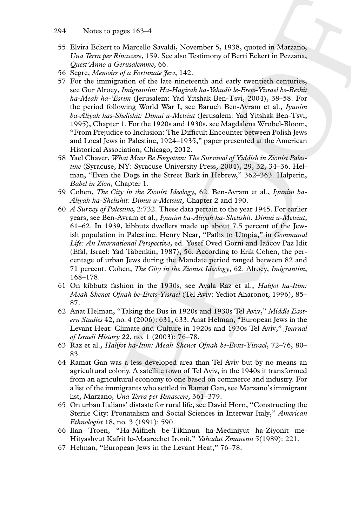- 55 Elvira Eckert to Marcello Savaldi, November 5, 1938, quoted in Marzano, *Una Terra per Rinascere*, 159. See also Testimony of Berti Eckert in Pezzana, *Quest'Anno a Gerusalemme*, 66.
- 56 Segre, *Memoirs of a Fortunate Jew*, 142.
- 57 For the immigration of the late nineteenth and early twentieth centuries, see Gur Alroey, *Imigrantim: Ha-Hagirah ha-Yehudit le-Erets-Yisrael be-Reshit ha-Meah ha-'Esrim* (Jerusalem: Yad Yitshak Ben-Tsvi, 2004), 38–58. For the period following World War I, see Baruch Ben-Avram et al., *Iyunim ba-Aliyah has-Shelishit: Dimui u-Metsiut* (Jerusalem: Yad Yitshak Ben-Tsvi, 1995), Chapter 1. For the 1920s and 1930s, see Magdalena Wrobel-Bloom, "From Prejudice to Inclusion: The Difficult Encounter between Polish Jews and Local Jews in Palestine, 1924–1935," paper presented at the American Historical Association, Chicago, 2012.
- 58 Yael Chaver, *What Must Be Forgotten: The Survival of Yiddish in Zionist Palestine* (Syracuse, NY: Syracuse University Press, 2004), 29, 32, 34–36. Helman, "Even the Dogs in the Street Bark in Hebrew," 362–363. Halperin, *Babel in Zion*, Chapter 1.
- 59 Cohen, *The City in the Zionist Ideology*, 62. Ben-Avram et al., *Iyunim ba-Aliyah ha-Shelishit: Dimui u-Metsiut*, Chapter 2 and 190.
- 60 *A Survey of Palestine*, 2:732. These data pertain to the year 1945. For earlier years, see Ben-Avram et al., *Iyunim ba-Aliyah ha-Shelishit: Dimui u-Metsiut*, 61–62. In 1939, kibbutz dwellers made up about 7.5 percent of the Jewish population in Palestine. Henry Near, "Paths to Utopia," in *Communal Life: An International Perspective*, ed. Yosef Oved Gorni and Iaácov Paz Idit (Efal, Israel: Yad Tabenkin, 1987), 56. According to Erik Cohen, the percentage of urban Jews during the Mandate period ranged between 82 and 71 percent. Cohen, *The City in the Zionist Ideology*, 62. Alroey, *Imigrantim*, 168–178.
- 61 On kibbutz fashion in the 1930s, see Ayala Raz et al., *Halifot ha-Itim: Meah Shenot Ofnah be-Erets-Yisrael* (Tel Aviv: Yediot Aharonot, 1996), 85– 87.
- 62 Anat Helman, "Taking the Bus in 1920s and 1930s Tel Aviv," *Middle Eastern Studies* 42, no. 4 (2006): 631, 633. Anat Helman, "European Jews in the Levant Heat: Climate and Culture in 1920s and 1930s Tel Aviv," *Journal of Israeli History* 22, no. 1 (2003): 76–78.
- 63 Raz et al., *Halifot ha-Itim: Meah Shenot Ofnah be-Erets-Yisrael*, 72–76, 80– 83.
- 64 Ramat Gan was a less developed area than Tel Aviv but by no means an agricultural colony. A satellite town of Tel Aviv, in the 1940s it transformed from an agricultural economy to one based on commerce and industry. For a list of the immigrants who settled in Ramat Gan, see Marzano's immigrant list, Marzano, *Una Terra per Rinascere*, 361–379.
- 65 On urban Italians' distaste for rural life, see David Horn, "Constructing the Sterile City: Pronatalism and Social Sciences in Interwar Italy," *American Ethnologist* 18, no. 3 (1991): 590.
- 66 Ilan Troen, "Ha-Mifneh be-Tikhnun ha-Mediniyut ha-Ziyonit me-Hityashvut Kafrit le-Maarechet Ironit," *Yahadut Zmanenu* 5(1989): 221.
- 67 Helman, "European Jews in the Levant Heat," 76–78.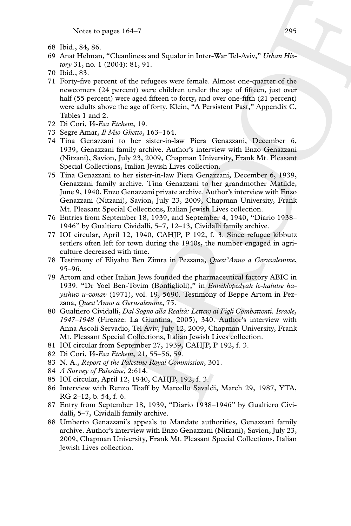- 68 Ibid., 84, 86.
- 69 Anat Helman, "Cleanliness and Squalor in Inter-War Tel-Aviv," *Urban History* 31, no. 1 (2004): 81, 91.
- 70 Ibid., 83.
- 71 Forty-five percent of the refugees were female. Almost one-quarter of the newcomers (24 percent) were children under the age of fifteen, just over half (55 percent) were aged fifteen to forty, and over one-fifth (21 percent) were adults above the age of forty. Klein, "A Persistent Past," Appendix C, Tables 1 and 2.
- 72 Di Cori, *Ve-Esa Etchem*, 19.
- 73 Segre Amar, *Il Mio Ghetto*, 163–164.
- 74 Tina Genazzani to her sister-in-law Piera Genazzani, December 6, 1939, Genazzani family archive. Author's interview with Enzo Genazzani (Nitzani), Savion, July 23, 2009, Chapman University, Frank Mt. Pleasant Special Collections, Italian Jewish Lives collection.
- 75 Tina Genazzani to her sister-in-law Piera Genazzani, December 6, 1939, Genazzani family archive. Tina Genazzani to her grandmother Matilde, June 9, 1940, Enzo Genazzani private archive. Author's interview with Enzo Genazzani (Nitzani), Savion, July 23, 2009, Chapman University, Frank Mt. Pleasant Special Collections, Italian Jewish Lives collection.
- 76 Entries from September 18, 1939, and September 4, 1940, "Diario 1938– 1946" by Gualtiero Cividalli, 5–7, 12–13, Cividalli family archive.
- 77 IOI circular, April 12, 1940, CAHJP, P 192, f. 3. Since refugee kibbutz settlers often left for town during the 1940s, the number engaged in agriculture decreased with time.
- 78 Testimony of Eliyahu Ben Zimra in Pezzana, *Quest'Anno a Gerusalemme*, 95–96.
- 79 Artom and other Italian Jews founded the pharmaceutical factory ABIC in 1939. "Dr Yoel Ben-Tovim (Bonfiglioli)," in *Entsiklopedyah le-halutse hayishuv u-vonav* (1971), vol. 19, 5690. Testimony of Beppe Artom in Pezzana, *Quest'Anno a Gerusalemme*, 75.
- 80 Gualtiero Cividalli, *Dal Sogno alla Realtà: Lettere ai Figli Combattenti. Israele, 1947–1948* (Firenze: La Giuntina, 2005), 340. Author's interview with Anna Ascoli Servadio, Tel Aviv, July 12, 2009, Chapman University, Frank Mt. Pleasant Special Collections, Italian Jewish Lives collection.
- 81 IOI circular from September 27, 1939, CAHJP, P 192, f. 3.
- 82 Di Cori, *Ve-Esa Etchem*, 21, 55–56, 59.
- 83 N. A., *Report of the Palestine Royal Commission*, 301.
- 84 *A Survey of Palestine*, 2:614.
- 85 IOI circular, April 12, 1940, CAHJP, 192, f. 3.
- 86 Interview with Renzo Toaff by Marcello Savaldi, March 29, 1987, YTA, RG 2–12, b. 54, f. 6.
- 87 Entry from September 18, 1939, "Diario 1938–1946" by Gualtiero Cividalli, 5–7, Cividalli family archive.
- 88 Umberto Genazzani's appeals to Mandate authorities, Genazzani family archive. Author's interview with Enzo Genazzani (Nitzani), Savion, July 23, 2009, Chapman University, Frank Mt. Pleasant Special Collections, Italian Jewish Lives collection.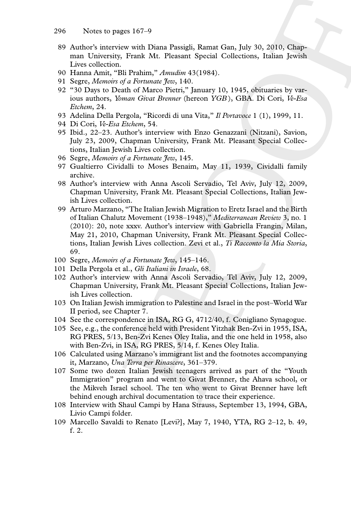- 89 Author's interview with Diana Passigli, Ramat Gan, July 30, 2010, Chapman University, Frank Mt. Pleasant Special Collections, Italian Jewish Lives collection.
- 90 Hanna Amit, "Bli Prahim," *Amudim* 43(1984).
- 91 Segre, *Memoirs of a Fortunate Jew*, 140.
- 92 "30 Days to Death of Marco Pietri," January 10, 1945, obituaries by various authors, *Yoman Givat Brenner* (hereon *YGB*), GBA. Di Cori, *Ve-Esa Etchem*, 24.
- 93 Adelina Della Pergola, "Ricordi di una Vita," *Il Portavoce* 1 (1), 1999, 11.
- 94 Di Cori, *Ve-Esa Etchem*, 54.
- 95 Ibid., 22–23. Author's interview with Enzo Genazzani (Nitzani), Savion, July 23, 2009, Chapman University, Frank Mt. Pleasant Special Collections, Italian Jewish Lives collection.
- 96 Segre, *Memoirs of a Fortunate Jew*, 145.
- 97 Gualtierro Cividalli to Moses Benaim, May 11, 1939, Cividalli family archive.
- 98 Author's interview with Anna Ascoli Servadio, Tel Aviv, July 12, 2009, Chapman University, Frank Mt. Pleasant Special Collections, Italian Jewish Lives collection.
- 99 Arturo Marzano, "The Italian Jewish Migration to Eretz Israel and the Birth of Italian Chalutz Movement (1938–1948)," *Mediterranean Review* 3, no. 1 (2010): 20, note xxxv. Author's interview with Gabriella Frangin, Milan, May 21, 2010, Chapman University, Frank Mt. Pleasant Special Collections, Italian Jewish Lives collection. Zevi et al., *Ti Racconto la Mia Storia*, 69.
- 100 Segre, *Memoirs of a Fortunate Jew*, 145–146.
- 101 Della Pergola et al., *Gli Italiani in Israele*, 68.
- 102 Author's interview with Anna Ascoli Servadio, Tel Aviv, July 12, 2009, Chapman University, Frank Mt. Pleasant Special Collections, Italian Jewish Lives collection.
- 103 On Italian Jewish immigration to Palestine and Israel in the post–World War II period, see Chapter 7.
- 104 See the correspondence in ISA, RG G, 4712/40, f. Conigliano Synagogue.
- 105 See, e.g., the conference held with President Yitzhak Ben-Zvi in 1955, ISA, RG PRES, 5/13, Ben-Zvi Kenes Oley Italia, and the one held in 1958, also with Ben-Zvi, in ISA, RG PRES, 5/14, f. Kenes Oley Italia.
- 106 Calculated using Marzano's immigrant list and the footnotes accompanying it, Marzano, *Una Terra per Rinascere*, 361–379.
- 107 Some two dozen Italian Jewish teenagers arrived as part of the "Youth Immigration" program and went to Givat Brenner, the Ahava school, or the Mikveh Israel school. The ten who went to Givat Brenner have left behind enough archival documentation to trace their experience.
- 108 Interview with Shaul Campi by Hana Strauss, September 13, 1994, GBA, Livio Campi folder.
- 109 Marcello Savaldi to Renato [Levi?], May 7, 1940, YTA, RG 2–12, b. 49, f. 2.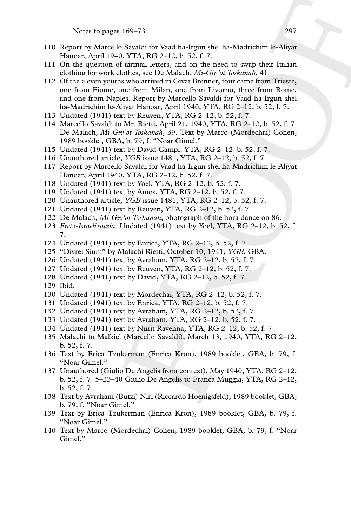Notes to pages 169–73 297

- 110 Report by Marcello Savaldi for Vaad ha-Irgun shel ha-Madrichim le-Aliyat Hanoar, April 1940, YTA, RG 2–12, b. 52, f. 7.
- 111 On the question of airmail letters, and on the need to swap their Italian clothing for work clothes, see De Malach, *Mi-Giv'ot Toskanah*, 41.
- 112 Of the eleven youths who arrived in Givat Brenner, four came from Trieste, one from Fiume, one from Milan, one from Livorno, three from Rome, and one from Naples. Report by Marcello Savaldi for Vaad ha-Irgun shel ha-Madrichim le-Aliyat Hanoar, April 1940, YTA, RG 2–12, b. 52, f. 7.
- 113 Undated (1941) text by Reuven, YTA, RG 2–12, b. 52, f. 7.
- 114 Marcello Savaldi to Mr. Rietti, April 21, 1940, YTA, RG 2–12, b. 52, f. 7. De Malach, *Mi-Giv'ot Toskanah*, 39. Text by Marco (Mordechai) Cohen, 1989 booklet, GBA, b. 79, f. "Noar Gimel."
- 115 Undated (1941) text by David Campi, YTA, RG 2–12, b. 52, f. 7.
- 116 Unauthored article, *YGB* issue 1481, YTA, RG 2–12, b. 52, f. 7.
- 117 Report by Marcello Savaldi for Vaad ha-Irgun shel ha-Madrichim le-Aliyat Hanoar, April 1940, YTA, RG 2–12, b. 52, f. 7.
- 118 Undated (1941) text by Yoel, YTA, RG 2–12, b. 52, f. 7.
- 119 Undated (1941) text by Amos, YTA, RG 2–12, b. 52, f. 7.
- 120 Unauthored article, *YGB* issue 1481, YTA, RG 2–12, b. 52, f. 7.
- 121 Undated (1941) text by Reuven, YTA, RG 2–12, b. 52, f. 7.
- 122 De Malach, *Mi-Giv'ot Toskanah*, photograph of the hora dance on 86.
- 123 *Eretz-Israelizatzia*. Undated (1941) text by Yoel, YTA, RG 2–12, b. 52, f. 7.
- 124 Undated (1941) text by Enrica, YTA, RG 2–12, b. 52, f. 7.
- 125 "Divrei Sium" by Malachi Rietti, October 10, 1941, *YGB*, GBA.
- 126 Undated (1941) text by Avraham, YTA, RG 2–12, b. 52, f. 7.
- 127 Undated (1941) text by Reuven, YTA, RG 2–12, b. 52, f. 7.
- 128 Undated (1941) text by David, YTA, RG 2–12, b. 52, f. 7.
- 129 Ibid.
- 130 Undated (1941) text by Mordechai, YTA, RG 2–12, b. 52, f. 7.
- 131 Undated (1941) text by Enrica, YTA, RG 2–12, b. 52, f. 7.
- 132 Undated (1941) text by Avraham, YTA, RG 2–12, b. 52, f. 7.
- 133 Undated (1941) text by Avraham, YTA, RG 2–12, b. 52, f. 7.
- 134 Undated (1941) text by Nurit Ravenna, YTA, RG 2–12, b. 52, f. 7.
- 135 Malachi to Malkiel (Marcello Savaldi), March 13, 1940, YTA, RG 2–12, b. 52, f. 7.
- 136 Text by Erica Tzukerman (Enrica Kron), 1989 booklet, GBA, b. 79, f. "Noar Gimel."
- 137 Unauthored (Giulio De Angelis from context), May 1940, YTA, RG 2–12, b. 52, f. 7. 5–23–40 Giulio De Angelis to Franca Muggia, YTA, RG 2–12, b. 52, f. 7.
- 138 Text by Avraham (Butzi) Niri (Riccardo Hoenigsfeld), 1989 booklet, GBA, b. 79, f. "Noar Gimel."
- 139 Text by Erica Tzukerman (Enrica Kron), 1989 booklet, GBA, b. 79, f. "Noar Gimel."
- 140 Text by Marco (Mordechai) Cohen, 1989 booklet, GBA, b. 79, f. "Noar Gimel."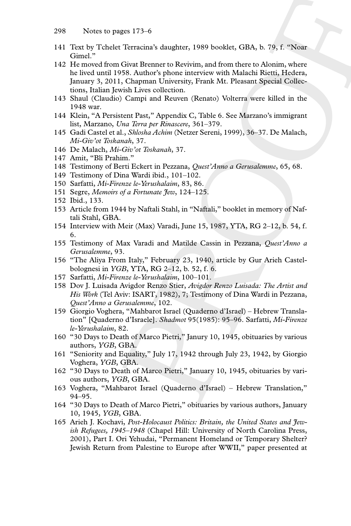- 141 Text by Tchelet Terracina's daughter, 1989 booklet, GBA, b. 79, f. "Noar Gimel."
- 142 He moved from Givat Brenner to Revivim, and from there to Alonim, where he lived until 1958. Author's phone interview with Malachi Rietti, Hedera, January 3, 2011, Chapman University, Frank Mt. Pleasant Special Collections, Italian Jewish Lives collection.
- 143 Shaul (Claudio) Campi and Reuven (Renato) Volterra were killed in the 1948 war.
- 144 Klein, "A Persistent Past," Appendix C, Table 6. See Marzano's immigrant list, Marzano, *Una Terra per Rinascere*, 361–379.
- 145 Gadi Castel et al., *Shlosha Achim* (Netzer Sereni, 1999), 36–37. De Malach, *Mi-Giv'ot Toskanah*, 37.
- 146 De Malach, *Mi-Giv'ot Toskanah*, 37.
- 147 Amit, "Bli Prahim."
- 148 Testimony of Berti Eckert in Pezzana, *Quest'Anno a Gerusalemme*, 65, 68.
- 149 Testimony of Dina Wardi ibid., 101–102.
- 150 Sarfatti, *Mi-Firenze le-Yerushalaim*, 83, 86.
- 151 Segre, *Memoirs of a Fortunate Jew*, 124–125.
- 152 Ibid., 133.
- 153 Article from 1944 by Naftali Stahl, in "Naftali," booklet in memory of Naftali Stahl, GBA.
- 154 Interview with Meir (Max) Varadi, June 15, 1987, YTA, RG 2–12, b. 54, f. 6.
- 155 Testimony of Max Varadi and Matilde Cassin in Pezzana, *Quest'Anno a Gerusalemme*, 93.
- 156 "The Aliya From Italy," February 23, 1940, article by Gur Arieh Castelbolognesi in *YGB*, YTA, RG 2–12, b. 52, f. 6.
- 157 Sarfatti, *Mi-Firenze le-Yerushalaim*, 100–101.
- 158 Dov J. Luisada Avigdor Renzo Stier, *Avigdor Renzo Luisada: The Artist and His Work* (Tel Aviv: ISART, 1982), 7; Testimony of Dina Wardi in Pezzana, *Quest'Anno a Gerusalemme*, 102.
- 159 Giorgio Voghera, "Mahbarot Israel (Quaderno d'Israel) Hebrew Translation" [Quaderno d'Israele]. *Shadmot* 95(1985): 95–96. Sarfatti, *Mi-Firenze le-Yerushalaim*, 82.
- 160 "30 Days to Death of Marco Pietri," Janury 10, 1945, obituaries by various authors, *YGB*, GBA.
- 161 "Seniority and Equality," July 17, 1942 through July 23, 1942, by Giorgio Voghera, *YGB*, GBA.
- 162 "30 Days to Death of Marco Pietri," January 10, 1945, obituaries by various authors, *YGB*, GBA.
- 163 Voghera, "Mahbarot Israel (Quaderno d'Israel) Hebrew Translation," 94–95.
- 164 "30 Days to Death of Marco Pietri," obituaries by various authors, January 10, 1945, *YGB*, GBA.
- 165 Arieh J. Kochavi, *Post-Holocaust Politics: Britain, the United States and Jewish Refugees, 1945–1948* (Chapel Hill: University of North Carolina Press, 2001), Part I. Ori Yehudai, "Permanent Homeland or Temporary Shelter? Jewish Return from Palestine to Europe after WWII," paper presented at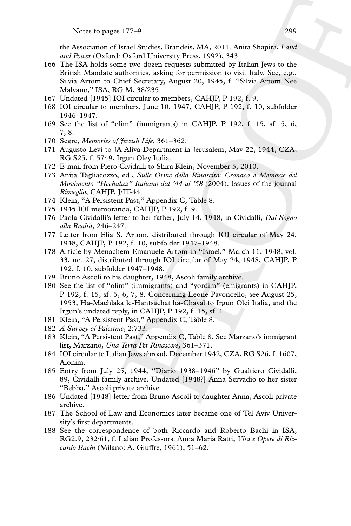the Association of Israel Studies, Brandeis, MA, 2011. Anita Shapira, *Land and Power* (Oxford: Oxford University Press, 1992), 343.

- 166 The ISA holds some two dozen requests submitted by Italian Jews to the British Mandate authorities, asking for permission to visit Italy. See, e.g., Silvia Artom to Chief Secretary, August 20, 1945, f. "Silvia Artom Nee Malvano," ISA, RG M, 38/235.
- 167 Undated [1945] IOI circular to members, CAHJP, P 192, f. 9.
- 168 IOI circular to members, June 10, 1947, CAHJP, P 192, f. 10, subfolder 1946–1947.
- 169 See the list of "olim" (immigrants) in CAHJP, P 192, f. 15, sf. 5, 6, 7, 8.
- 170 Segre, *Memories of Jewish Life*, 361–362.
- 171 Augusto Levi to JA Aliya Department in Jerusalem, May 22, 1944, CZA, RG S25, f. 5749, Irgun Oley Italia.
- 172 E-mail from Piero Cividalli to Shira Klein, November 5, 2010.
- 173 Anita Tagliacozzo, ed., *Sulle Orme della Rinascita: Cronaca e Memorie del Movimento "Hechaluz" Italiano dal '44 al '58* (2004). Issues of the journal *Risveglio*, CAHJP, J/IT-44.
- 174 Klein, "A Persistent Past," Appendix C, Table 8.
- 175 1945 IOI memoranda, CAHJP, P 192, f. 9.
- 176 Paola Cividalli's letter to her father, July 14, 1948, in Cividalli, *Dal Sogno alla Realtà*, 246–247.
- 177 Letter from Elia S. Artom, distributed through IOI circular of May 24, 1948, CAHJP, P 192, f. 10, subfolder 1947–1948.
- 178 Article by Menachem Emanuele Artom in "Israel," March 11, 1948, vol. 33, no. 27, distributed through IOI circular of May 24, 1948, CAHJP, P 192, f. 10, subfolder 1947–1948.
- 179 Bruno Ascoli to his daughter, 1948, Ascoli family archive.
- 180 See the list of "olim" (immigrants) and "yordim" (emigrants) in CAHJP, P 192, f. 15, sf. 5, 6, 7, 8. Concerning Leone Pavoncello, see August 25, 1953, Ha-Machlaka le-Hantsachat ha-Chayal to Irgun Olei Italia, and the Irgun's undated reply, in CAHJP, P 192, f. 15, sf. 1.
- 181 Klein, "A Persistent Past," Appendix C, Table 8.
- 182 *A Survey of Palestine*, 2:733.
- 183 Klein, "A Persistent Past," Appendix C, Table 8. See Marzano's immigrant list, Marzano, *Una Terra Per Rinascere*, 361–371.
- 184 IOI circular to Italian Jews abroad, December 1942, CZA, RG S26, f. 1607, Alonim.
- 185 Entry from July 25, 1944, "Diario 1938–1946" by Gualtiero Cividalli, 89, Cividalli family archive. Undated [1948?] Anna Servadio to her sister "Bebba," Ascoli private archive.
- 186 Undated [1948] letter from Bruno Ascoli to daughter Anna, Ascoli private archive.
- 187 The School of Law and Economics later became one of Tel Aviv University's first departments.
- 188 See the correspondence of both Riccardo and Roberto Bachi in ISA, RG2.9, 232/61, f. Italian Professors. Anna Maria Ratti, *Vita e Opere di Riccardo Bachi* (Milano: A. Giuffrè, 1961), 51–62.